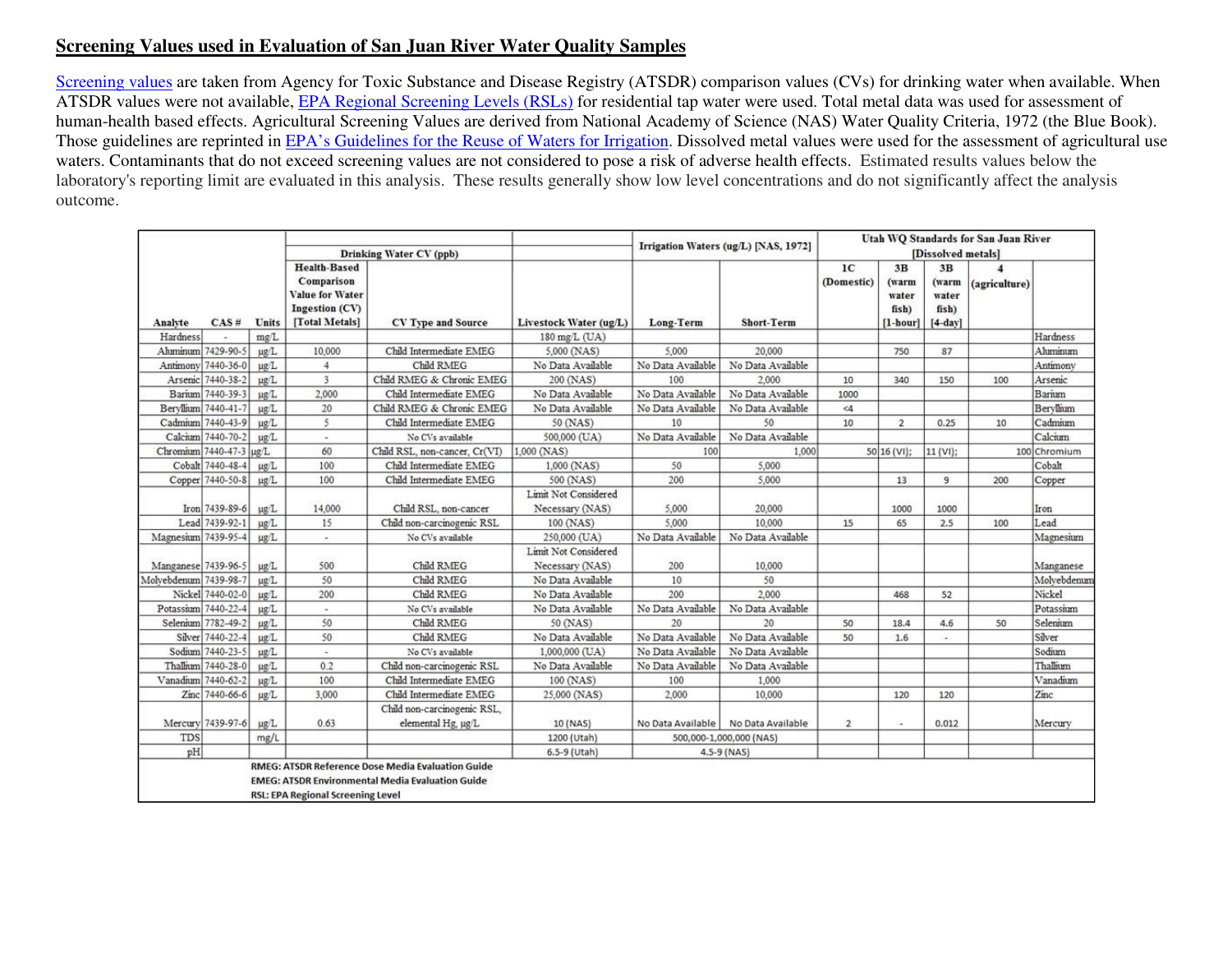#### **Screening Values used in Evaluation of San Juan River Water Quality Samples**

Screening values are taken from Agency for Toxic Substance and Disease Registry (ATSDR) comparison values (CVs) for drinking water when available. When ATSDR values were not available, EPA Regional Screening Levels (RSLs) for residential tap water were used. Total metal data was used for assessment of human-health based effects. Agricultural Screening Values are derived from National Academy of Science (NAS) Water Quality Criteria, 1972 (the Blue Book). Those guidelines are reprinted in EPA's Guidelines for the Reuse of Waters for Irrigation. Dissolved metal values were used for the assessment of agricultural use waters. Contaminants that do not exceed screening values are not considered to pose a risk of adverse health effects. Estimated results values below the laboratory's reporting limit are evaluated in this analysis. These results generally show low level concentrations and do not significantly affect the analysis outcome.

|                       |                         |           |                                                                        |                                                                                                                     |                                         |                   | Irrigation Waters (ug/L) [NAS, 1972] |                              |                               |                               | <b>Utah WQ Standards for San Juan River</b> |              |
|-----------------------|-------------------------|-----------|------------------------------------------------------------------------|---------------------------------------------------------------------------------------------------------------------|-----------------------------------------|-------------------|--------------------------------------|------------------------------|-------------------------------|-------------------------------|---------------------------------------------|--------------|
|                       |                         |           |                                                                        | <b>Drinking Water CV (ppb)</b>                                                                                      |                                         |                   |                                      |                              |                               | [Dissolved metals]            |                                             |              |
|                       |                         |           | <b>Health-Based</b><br>Comparison<br>Value for Water<br>Ingestion (CV) |                                                                                                                     |                                         |                   |                                      | 1 <sup>C</sup><br>(Domestic) | 3B<br>(warm<br>water<br>fish) | 3B<br>(warm<br>water<br>fish) | $\boldsymbol{A}$<br>(agriculture)           |              |
| Analyte               | CAS#                    | Units     | [Total Metals]                                                         | CV Type and Source                                                                                                  | Livestock Water (ug/L)                  | <b>Long-Term</b>  | <b>Short-Term</b>                    |                              | $[1-hour]$                    | $[4-dav]$                     |                                             |              |
| Hardness              |                         | mg/L      |                                                                        |                                                                                                                     | 180 mg/L (UA)                           |                   |                                      |                              |                               |                               |                                             | Hardness     |
|                       | Aluminum 7429-90-5      | ug/L      | 10,000                                                                 | Child Intermediate EMEG                                                                                             | 5,000 (NAS)                             | 5,000             | 20,000                               |                              | 750                           | 87                            |                                             | Ahminum      |
|                       | Antimony 7440-36-0      | ug/L      | 4                                                                      | Child RMEG                                                                                                          | No Data Available                       | No Data Available | No Data Available                    |                              |                               |                               |                                             | Antimony     |
|                       | Arsenic 7440-38-2       | ug/L      | 3                                                                      | Child RMEG & Chronic EMEG                                                                                           | 200 (NAS)                               | 100               | 2,000                                | 10                           | 340                           | 150                           | 100                                         | Arsenic      |
|                       | Barium 7440-39-3        | ug/L      | 2,000                                                                  | Child Intermediate EMEG                                                                                             | No Data Available                       | No Data Available | No Data Available                    | 1000                         |                               |                               |                                             | Barium       |
|                       | Beryllium 7440-41-7     | ug/L      | 20                                                                     | Child RMEG & Chronic EMEG                                                                                           | No Data Available                       | No Data Available | No Data Available                    | $<$ 4                        |                               |                               |                                             | Beryllium    |
|                       | Cadmium 7440-43-9       | ug/L      | 5                                                                      | Child Intermediate EMEG                                                                                             | 50 (NAS)                                | 10                | 50                                   | 10                           | $\overline{2}$                | 0.25                          | 10                                          | Cadmium      |
|                       | Calcium 7440-70-2       | ug/L      | ٠                                                                      | No CVs available                                                                                                    | 500,000 (UA)                            | No Data Available | No Data Available                    |                              |                               |                               |                                             | Calcium      |
|                       | Chromium 7440-47-3 ug/L |           | 60                                                                     | Child RSL, non-cancer, Cr(VI)                                                                                       | 1,000 (NAS)                             | 100               | 1,000                                |                              | 50 16 (V1);                   | $11 (V1)$ ;                   |                                             | 100 Chromium |
|                       | Cobalt 7440-48-4        | $\mu$ g/L | 100                                                                    | Child Intermediate EMEG                                                                                             | 1,000 (NAS)                             | 50                | 5,000                                |                              |                               |                               |                                             | Cobalt       |
|                       | Copper 7440-50-8        | ug/L      | 100                                                                    | Child Intermediate EMEG                                                                                             | 500 (NAS)                               | 200               | 5,000                                |                              | 13                            | 9                             | 200                                         | Copper       |
|                       | Iron 7439-89-6          | ug/L      | 14,000                                                                 | Child RSL, non-cancer                                                                                               | Limit Not Considered<br>Necessary (NAS) | 5,000             | 20,000                               |                              | 1000                          | 1000                          |                                             | Iron         |
|                       | Lead 7439-92-1          | ug/L      | 15                                                                     | Child non-carcinogenic RSL                                                                                          | 100 (NAS)                               | 5,000             | 10,000                               | 15                           | 65                            | 2.5                           | 100                                         | Lead         |
| Magnesium 7439-95-4   |                         | ug/L      | $\sim$                                                                 | No CVs available                                                                                                    | 250,000 (UA)                            | No Data Available | No Data Available                    |                              |                               |                               |                                             | Magnesium    |
|                       |                         |           |                                                                        |                                                                                                                     | Limit Not Considered                    |                   |                                      |                              |                               |                               |                                             |              |
| Manganese 7439-96-5   |                         | $\mu g/L$ | 500                                                                    | Child RMEG                                                                                                          | Necessary (NAS)                         | 200               | 10,000                               |                              |                               |                               |                                             | Manganese    |
| Molvebdenum 7439-98-7 |                         | ug/L      | 50                                                                     | Child RMEG                                                                                                          | No Data Available                       | 10                | 50                                   |                              |                               |                               |                                             | Molvebdenum  |
|                       | Nickel 7440-02-0        | ug/L      | 200                                                                    | Child RMEG                                                                                                          | No Data Available                       | 200               | 2,000                                |                              | 468                           | 52                            |                                             | Nickel       |
|                       | Potassium 7440-22-4     | ug/L      | $\blacksquare$                                                         | No CVs available                                                                                                    | No Data Available                       | No Data Available | No Data Available                    |                              |                               |                               |                                             | Potassium    |
|                       | Selenium 7782-49-2      | µg/L      | 50                                                                     | Child RMEG                                                                                                          | 50 (NAS)                                | 20                | 20                                   | 50                           | 18.4                          | 4.6                           | 50                                          | Selenium     |
|                       | Silver 7440-22-4        | ug/L      | 50                                                                     | Child RMEG                                                                                                          | No Data Available                       | No Data Available | No Data Available                    | 50                           | 1.6                           | $\sim$                        |                                             | Silver       |
|                       | Sodium 7440-23-5        | ug/L      |                                                                        | No CVs available                                                                                                    | 1,000,000 (UA)                          | No Data Available | No Data Available                    |                              |                               |                               |                                             | Sodium       |
|                       | Thallium 7440-28-0      | ug/L      | 0.2                                                                    | Child non-carcinogenic RSL                                                                                          | No Data Available                       | No Data Available | No Data Available                    |                              |                               |                               |                                             | Thallium     |
|                       | Vanadium 7440-62-2      | ug/L      | 100                                                                    | Child Intermediate EMEG                                                                                             | 100 (NAS)                               | 100               | 1,000                                |                              |                               |                               |                                             | Vanadium     |
|                       | Zinc 7440-66-6          | ug/L      | 3,000                                                                  | Child Intermediate EMEG                                                                                             | 25,000 (NAS)                            | 2,000             | 10,000                               |                              | 120                           | 120                           |                                             | Zinc         |
|                       |                         |           |                                                                        | Child non-carcinogenic RSL,                                                                                         |                                         |                   |                                      |                              |                               |                               |                                             |              |
|                       | Mercury 7439-97-6       | ug/L      | 0.63                                                                   | elemental Hg, ug/L                                                                                                  | 10 (NAS)                                | No Data Available | No Data Available                    | $\overline{2}$               | ×                             | 0.012                         |                                             | Mercury      |
| <b>TDS</b>            |                         | mg/L      |                                                                        |                                                                                                                     | 1200 (Utah)                             |                   | 500,000-1,000,000 (NAS)              |                              |                               |                               |                                             |              |
| pH                    |                         |           |                                                                        |                                                                                                                     | 6.5-9 (Utah)                            |                   | $4.5 - 9$ (NAS)                      |                              |                               |                               |                                             |              |
|                       |                         |           | <b>RSL: EPA Regional Screening Level</b>                               | <b>RMEG: ATSDR Reference Dose Media Evaluation Guide</b><br><b>EMEG: ATSDR Environmental Media Evaluation Guide</b> |                                         |                   |                                      |                              |                               |                               |                                             |              |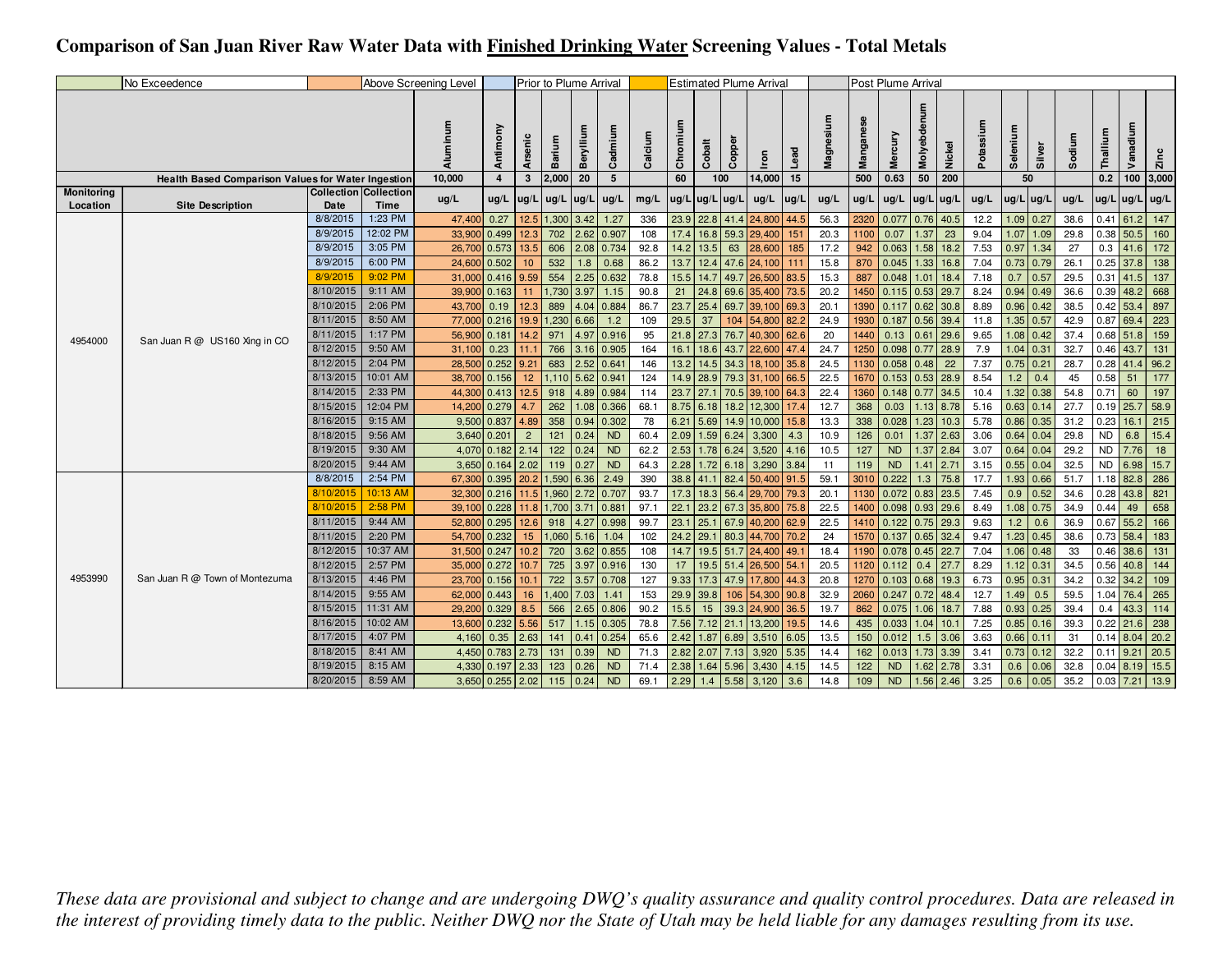## **Comparison of San Juan River Raw Water Data with Finished Drinking Water Screening Values - Total Metals**

|                        | No Exceedence                                      |           |                                      | Above Screening Level |             |                | Prior to Plume Arrival |              |           |         |          |                |           | <b>Estimated Plume Arrival</b> |       |           |      | Post Plume Arrival   |             |             |      |                  |             |        |             |                |                  |
|------------------------|----------------------------------------------------|-----------|--------------------------------------|-----------------------|-------------|----------------|------------------------|--------------|-----------|---------|----------|----------------|-----------|--------------------------------|-------|-----------|------|----------------------|-------------|-------------|------|------------------|-------------|--------|-------------|----------------|------------------|
|                        |                                                    |           |                                      | Aluminum              | Antimony    | <b>Arseni</b>  | Barium                 | Berylliu     | Cadmium   | Calcium | Chromium | Cobalt         | Coppel    | lron                           | Lead  | Magnesium |      | Mercury              | Molyebde    | Nickel      | ۵ĭ   | Selenium         | Silver      | Sodium | Thallium    | Vanadium       | $\sum_{k=1}^{n}$ |
|                        | Health Based Comparison Values for Water Ingestion |           |                                      | 10,000                | 4           | $\mathbf{3}$   | 2,000                  | 20           | 5         |         | 60       |                | 100       | 14,000                         | 15    |           | 500  | 0.63                 | 50          | 200         |      | 50               |             |        | 0.2         | $100$ 3,000    |                  |
| Monitoring<br>Location | <b>Site Description</b>                            | Date      | <b>Collection Collection</b><br>Time | ug/L                  | ug/L        | lug/L          | ug/L                   | $\log/L$     | ug/L      | mg/L    |          | ug/L ug/L ug/L |           | ug/L                           | lug/l | ug/L      | ug/L | ug/L                 | ug/L ug/L   |             | ug/L | $ug/L$ ug/L      |             | ug/L   |             | ug/L ug/L ug/L |                  |
|                        |                                                    | 8/8/2015  | 1:23 PM                              | 47,400                | 0.27        | 12.5           | 1,300 3.42             |              | 1.27      | 336     | 23.9     |                | 22.8 41.4 | 24,800                         | 44.5  | 56.3      | 2320 | $0.077$ 0.76 40.5    |             |             | 12.2 |                  | $1.09$ 0.27 | 38.6   | 0.41        | 61.2           | 147              |
|                        |                                                    | 8/9/2015  | 12:02 PM                             | 33,900                | 0.499       | 12.3           | 702                    | 2.62         | 0.907     | 108     | 17.4     | 16.8           | 59.3      | 29,400                         | 151   | 20.3      | 1100 | 0.07                 | 1.37        | 23          | 9.04 | 1.07             | 1.09        | 29.8   | $0.38$ 50.5 |                | 160              |
|                        |                                                    | 8/9/2015  | 3:05 PM                              | 26,700                | 0.573       | 13.5           | 606                    | 2.08         | 0.734     | 92.8    | 14.2     | 13.5           | 63        | 28,600                         | 185   | 17.2      | 942  | 0.063                |             | $1.58$ 18.2 | 7.53 | 0.97             | 1.34        | 27     | 0.3         | 41.6           | 172              |
|                        |                                                    | 8/9/2015  | 6:00 PM                              | 24,600                | 0.502       | 10             | 532                    | 1.8          | 0.68      | 86.2    | 13.7     | 12.4           | 47.6      | 24,100                         | 111   | 15.8      | 870  | 0.045                |             | $1.33$ 16.8 | 7.04 |                  | $0.73$ 0.79 | 26.1   | $0.25$ 37.8 |                | 138              |
|                        |                                                    | 8/9/2015  | 9:02 PM                              | 31,000                | 0.416       | 9.59           | 554                    | 2.25         | 0.632     | 78.8    | 15.5     | 14.7           | 49.7      | 26,500                         | 83.5  | 15.3      | 887  | 0.048                | 1.01        | 18.4        | 7.18 | 0.7              | 0.57        | 29.5   | 0.31        | 41.5           | 137              |
|                        |                                                    | 8/10/2015 | 9:11 AM                              | 39,900                | 0.163       | 11             | 1,730                  | 3.97         | 1.15      | 90.8    | 21       | 24.8           | 69.6      | 35,400                         | 73.5  | 20.2      |      | 1450 0.115 0.53 29.7 |             |             | 8.24 |                  | $0.94$ 0.49 | 36.6   | $0.39$ 48.2 |                | 668              |
|                        |                                                    | 8/10/2015 | 2:06 PM                              | 43,700                | 0.19        | 12.3           | 889                    | 4.04         | 0.884     | 86.7    | 23.7     | 25.4           | 69.7      | 39,100                         | 69.3  | 20.1      | 1390 | 0.117                | $0.62$ 30.8 |             | 8.89 | $0.96$ 0.42      |             | 38.5   | 0.42        | 53.4           | 897              |
|                        |                                                    | 8/11/2015 | 8:50 AM                              | 77,000                | 0.216       | 19.9           | 1,230                  | 6.66         | 1.2       | 109     | 29.5     | 37             | 104       | 54,800                         | 82.2  | 24.9      |      | 1930 0.187           | $0.56$ 39.4 |             | 11.8 |                  | $1.35$ 0.57 | 42.9   | 0.87        | 69.4           | 223              |
| 4954000                | San Juan R @ US160 Xing in CO                      | 8/11/2015 | 1:17 PM                              | 56,900                | 0.181       | 14.2           | 971                    | 4.97         | 0.916     | 95      |          | $21.8$ 27.3    | 76.7      | 40,300 62.6                    |       | 20        | 1440 | 0.13                 | 0.61        | 29.6        | 9.65 |                  | $1.08$ 0.42 | 37.4   | $0.68$ 51.8 |                | 159              |
|                        |                                                    | 8/12/2015 | 9:50 AM                              | 31,100                | 0.23        | 11.1           | 766                    | 3.16         | 0.905     | 164     | 16.1     | 18.6           | 43.7      | 22,600                         | 47.4  | 24.7      | 1250 | $0.098$ 0.77 28.9    |             |             | 7.9  |                  | $1.04$ 0.31 | 32.7   | $0.46$ 43.7 |                | 131              |
|                        |                                                    | 8/12/2015 | 2:04 PM                              | 28,500                | 0.252       | 9.21           | 683                    | 2.52         | 0.64      | 146     | 13.2     | 14.5           | 34.3      | 18,100                         | 35.8  | 24.5      |      | 1130 0.058           | 0.48        | 22          | 7.37 | $0.75$ 0.21      |             | 28.7   | $0.28$ 41.4 |                | 96.2             |
|                        |                                                    | 8/13/2015 | 10:01 AM                             | 38,700                | 0.156       | 12             |                        | 1,110 5.62   | 0.94      | 124     |          | $14.9$ 28.9    | 79.3      | 31,100                         | 66.5  | 22.5      | 1670 | $0.153$ 0.53 28.9    |             |             | 8.54 | 1.2              | 0.4         | 45     | 0.58        | 51             | 177              |
|                        |                                                    | 8/14/2015 | 2:33 PM                              | 44,300                | 0.413       | 12.5           | 918                    | 4.89         | 0.984     | 114     |          | 23.7 27.1      | 70.5      | 39,100 64.3                    |       | 22.4      |      | 1360 0.148 0.77 34.5 |             |             | 10.4 |                  | $1.32$ 0.38 | 54.8   | 0.71        | 60             | 197              |
|                        |                                                    | 8/15/2015 | 12:04 PM                             | 14,200                | 0.279       | 4.7            | 262                    | 1.08         | 0.366     | 68.1    |          | $8.75$ 6.18    | 18.2      | 12,300                         | 17.4  | 12.7      | 368  | 0.03                 |             | $1.13$ 8.78 | 5.16 |                  | $0.63$ 0.14 | 27.7   | $0.19$ 25.7 |                | 58.9             |
|                        |                                                    | 8/16/2015 | 9:15 AM                              | 9,500                 | 0.837       | 4.89           | 358                    | 0.94         | 0.302     | 78      | 6.21     | 5.69           | 14.9      | 10,000                         | 15.8  | 13.3      | 338  | 0.028                |             | $1.23$ 10.3 | 5.78 |                  | $0.86$ 0.35 | 31.2   | 0.23        | 16.1           | 215              |
|                        |                                                    | 8/18/2015 | 9:56 AM                              |                       | 3,640 0.201 | $\overline{c}$ | 121                    | 0.24         | <b>ND</b> | 60.4    | 2.09     | 1.59           | 6.24      | 3,300                          | 4.3   | 10.9      | 126  | 0.01                 |             | $1.37$ 2.63 | 3.06 | $0.64$ 0.04      |             | 29.8   | <b>ND</b>   | 6.8            | 15.4             |
|                        |                                                    | 8/19/2015 | 9:30 AM                              | 4,070                 | 0.182       | 2.14           | 122                    | 0.24         | <b>ND</b> | 62.2    |          | $2.53$ 1.78    | 6.24      | 3,520                          | 4.16  | 10.5      | 127  | <b>ND</b>            |             | $1.37$ 2.84 | 3.07 | $0.64$ 0.04      |             | 29.2   | <b>ND</b>   | 7.76           | 18               |
|                        |                                                    | 8/20/2015 | 9:44 AM                              | 3,650                 | 0.164       | 2.02           | 119                    | 0.27         | <b>ND</b> | 64.3    | 2.28     | 1.72           | 6.18      | 3,290                          | 3.84  | 11        | 119  | <b>ND</b>            | 1.41        | 2.71        | 3.15 |                  | $0.55$ 0.04 | 32.5   | <b>ND</b>   | 6.98           | 15.7             |
|                        |                                                    | 8/8/2015  | 2:54 PM                              | 67,300                | 0.395       | 20.2           | 1,590                  | 6.36         | 2.49      | 390     |          | $38.8$ 41.1    | 82.4      | 50,400                         | 91.5  | 59.1      | 3010 | 0.222                | 1.3         | 75.8        | 17.7 |                  | 1.93 0.66   | 51.7   | 1.18        | 82.8           | 286              |
|                        |                                                    | 8/10/2015 | 10:13 AM                             | 32,300                | 0.216       | 11.5           |                        | 1,960 2.72   | 0.707     | 93.7    | 17.3     | 18.3           | 56.4      | 29,700                         | 79.3  | 20.1      |      | 1130 0.072 0.83 23.5 |             |             | 7.45 |                  | $0.9$ 0.52  | 34.6   | 0.28        | 43.8           | 821              |
|                        |                                                    | 8/10/2015 | 2:58 PM                              | 39,100                | 0.228       | 11.8           | 1,700 3.71             |              | 0.88      | 97.1    | 22.1     | 23.2           | 67.3      | 35,800                         | 75.8  | 22.5      |      | 1400 0.098 0.93 29.6 |             |             | 8.49 |                  | $1.08$ 0.75 | 34.9   | 0.44        | 49             | 658              |
|                        |                                                    | 8/11/2015 | 9:44 AM                              | 52,800                | 0.295       | 12.6           | 918                    | 4.27         | 0.998     | 99.7    | 23.1     | 25.            | 67.9      | 40,200                         | 62.9  | 22.5      | 1410 | 0.122                |             | $0.75$ 29.3 | 9.63 | 1.2 <sub>1</sub> | 0.6         | 36.9   | $0.67$ 55.2 |                | 166              |
|                        |                                                    | 8/11/2015 | 2:20 PM                              | 54,700                | 0.232       | 15             |                        | $1,060$ 5.16 | 1.04      | 102     | 24.2     | 29.1           | 80.3      | 44,700                         | 70.2  | 24        |      | 1570 0.137 0.65 32.4 |             |             | 9.47 |                  | $1.23$ 0.45 | 38.6   | $0.73$ 58.4 |                | 183              |
|                        |                                                    | 8/12/2015 | 10:37 AM                             | 31,500                | 0.247       | 10.2           | 720                    | 3.62         | 0.855     | 108     | 14.7     | 19.5           | 51.7      | 24,400                         | 49.   | 18.4      | 1190 | $0.078$ 0.45 22.7    |             |             | 7.04 |                  | $1.06$ 0.48 | 33     | 0.46        | 38.6           | 131              |
|                        |                                                    | 8/12/2015 | 2:57 PM                              | 35,000                | 0.272       | 10.7           | 725                    | 3.97         | 0.916     | 130     | 17       |                | 19.5 51.4 | 26,500 54.1                    |       | 20.5      |      | 1120 0.112           | 0.4         | 27.7        | 8.29 | $1.12$ 0.31      |             | 34.5   | $0.56$ 40.8 |                | 144              |
| 4953990                | San Juan R @ Town of Montezuma                     | 8/13/2015 | 4:46 PM                              | 23,700                | 0.156       | 10.            | 722                    | 3.57         | 0.708     | 127     | 9.33     | 17.3           | 47.9      | 17,800                         | 44.3  | 20.8      | 1270 | $0.103$ $0.68$ 19.3  |             |             | 6.73 | $0.95$ 0.3       |             | 34.2   | 0.32        | 34.2           | 109              |
|                        |                                                    | 8/14/2015 | 9:55 AM                              | 62,000                | 0.443       | 16             | 1,400                  | 7.03         | 1.41      | 153     |          | $29.9$ 39.8    | 106       | 54,300                         | 90.8  | 32.9      |      | 2060 0.247 0.72 48.4 |             |             | 12.7 | $1.49$ 0.5       |             | 59.5   | 1.04 76.4   |                | 265              |
|                        |                                                    | 8/15/2015 | 11:31 AM                             | 29,200                | 0.329       | 8.5            | 566                    | 2.65         | 0.806     | 90.2    | 15.5     | 15             | 39.3      | 24,900                         | 36.5  | 19.7      | 862  | 0.075                | $1.06$ 18.7 |             | 7.88 | $0.93$ 0.25      |             | 39.4   | 0.4         | 43.3           | 114              |
|                        |                                                    | 8/16/2015 | 10:02 AM                             | 13,600                | 0.232       | 5.56           | 517                    | 1.15         | 0.305     | 78.8    |          | 7.56 7.12 21.1 |           | 13,200                         | 19.5  | 14.6      | 435  | $0.033$ 1.04 10.1    |             |             | 7.25 |                  | $0.85$ 0.16 | 39.3   | $0.22$ 21.6 |                | 238              |
|                        |                                                    | 8/17/2015 | 4:07 PM                              | 4,160                 | 0.35        | 2.63           | 141                    | 0.41         | 0.254     | 65.6    |          | $2.42$ 1.87    | 6.89      | 3,510                          | 6.05  | 13.5      | 150  | 0.012                | 1.5         | 3.06        | 3.63 | $0.66$ 0.11      |             | 31     | $0.14$ 8.04 |                | 20.2             |
|                        |                                                    | 8/18/2015 | 8:41 AM                              | 4,450                 | 0.783       | 2.73           | 131                    | 0.39         | <b>ND</b> | 71.3    |          | 2.82 2.07 7.13 |           | 3,920                          | 5.35  | 14.4      | 162  | 0.013                |             | 1.73 3.39   | 3.41 |                  | $0.73$ 0.12 | 32.2   | 0.11        | 9.21           | 20.5             |
|                        |                                                    | 8/19/2015 | 8:15 AM                              | 4,330                 | 0.197       | 2.33           | 123                    | 0.26         | <b>ND</b> | 71.4    | 2.38     | 1.64           | 5.96      | 3,430                          | 4.15  | 14.5      | 122  | <b>ND</b>            |             | $1.62$ 2.78 | 3.31 | 0.6              | 0.06        | 32.8   | $0.04$ 8.19 |                | 15.5             |
|                        |                                                    | 8/20/2015 | 8:59 AM                              |                       | 3,650 0.255 | 2.02           | 115                    | 0.24         | <b>ND</b> | 69.1    | 2.29     | 1.4            | 5.58      | 3,120                          | 3.6   | 14.8      | 109  | <b>ND</b>            |             | $1.56$ 2.46 | 3.25 |                  | $0.6$ 0.05  | 35.2   | 0.03        | 7.21           | 13.9             |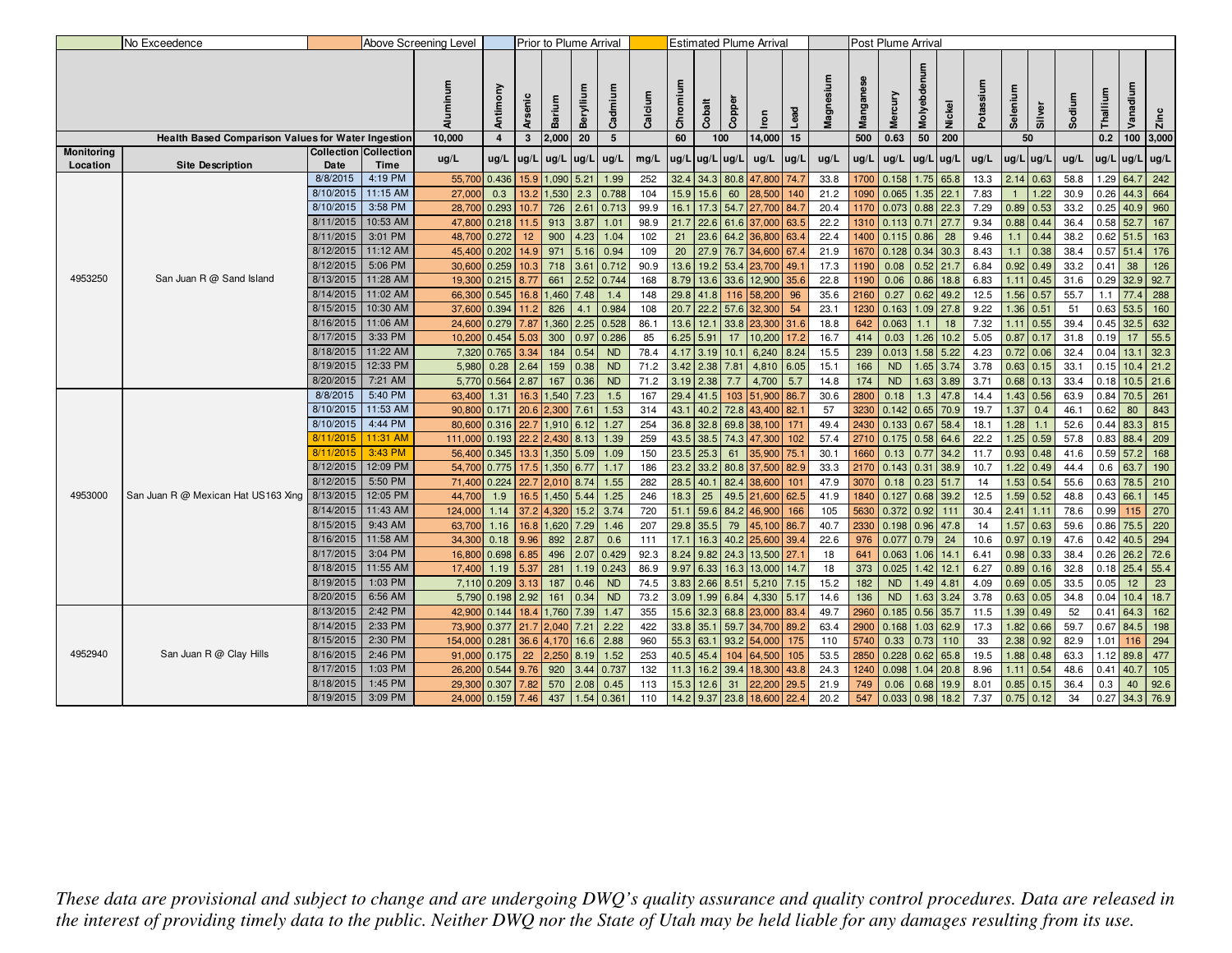|            | No Exceedence                                      |                        |                              | Above Screening Level |                |              | Prior to Plume Arrival |              |                 |             |              |                     |              | <b>Estimated Plume Arrival</b> |              |             |              | Post Plume Arrival |             |                    |              |              |                   |              |          |                            |             |
|------------|----------------------------------------------------|------------------------|------------------------------|-----------------------|----------------|--------------|------------------------|--------------|-----------------|-------------|--------------|---------------------|--------------|--------------------------------|--------------|-------------|--------------|--------------------|-------------|--------------------|--------------|--------------|-------------------|--------------|----------|----------------------------|-------------|
|            |                                                    |                        |                              | Aluminum              | Antimony       | Arsenic      | Barium                 | Berylliu     | Cadmium         | Calcium     | Chromium     | Cobalt              | Copper       | Iron                           | <b>Lead</b>  | Magnesium   | ngai<br>g    | Mercury            | Molyebdenum | ಕಾ<br>Š            | Potassi      | Selenium     | Silver            | Sodiu        | Thallium | Ē<br>ਫ਼<br>Van             | <b>Zinc</b> |
|            | Health Based Comparison Values for Water Ingestion |                        |                              | 10,000                | $\overline{4}$ | $\mathbf{3}$ | 2,000                  | 20           | $5\overline{)}$ |             | 60           |                     | 100          | 14,000                         | 15           |             | 500          | 0.63               | 50          | 200                |              | 50           |                   |              | 0.2      |                            | 100 3,000   |
| Monitoring |                                                    |                        | <b>Collection Collection</b> | ug/L                  | ug/L           | ug/L         | ug/L                   | $\vert$ ug/L | ug/L            | mg/L        | ug/L         | $ug/L$ $ug/L$       |              | ug/L                           | ug/l         | ug/L        | ug/L         | ug/L               | ug/L ug/L   |                    | ug/L         | $ug/L$ ug/L  |                   | ug/L         |          | ug/L ug/L ug/L             |             |
| Location   | <b>Site Description</b>                            | Date                   | Time                         |                       |                |              |                        |              |                 |             |              |                     |              |                                |              |             |              |                    |             |                    |              |              |                   |              |          |                            |             |
|            |                                                    | 8/8/2015               | 4:19 PM                      | 55,700                | 0.436          | 15.9         | 1,090                  | 5.21         | 1.99            | 252         | 32.4         | 34.3                | 80.8         | 47,800                         | 74.7         | 33.8        | 1700         | 0.158              |             | $1.75$ 65.8        | 13.3         | 2.14         | 0.63              | 58.8         | 1.29     | 64.7                       | 242         |
|            |                                                    | 8/10/2015              | 11:15 AM                     | 27,000                | 0.3            | 13.2         | 1,530                  | 2.3          | 0.788           | 104         | 15.9         | 15.6                | 60           | 28,500                         | 140          | 21.2        | 1090         | 0.065              | 1.35        | 22.1               | 7.83         |              | 1.22              | 30.9         | 0.26     | 44.3                       | 664         |
|            |                                                    | 8/10/2015              | 3:58 PM                      | 28,700                | 0.293          | 10.7         | 726                    | 2.61         | 0.713           | 99.9        | 16.1         | 17.3                | 54.7         | 27,700                         | 84.7         | 20.4        | 1170         | 0.073              |             | $0.88$ 22.3        | 7.29         | 0.89 0.53    |                   | 33.2         | 0.25     |                            | 40.9 960    |
|            |                                                    | 8/11/2015              | 10:53 AM                     | 47,800                | 0.218          | 11.5         | 913                    | 3.87         | 1.01            | 98.9        | 21.7         | 22.6                | 61.6         | 37,000                         | 63.5         | 22.2        | 1310         | 0.113              | 0.71        | 27.7               | 9.34         | $0.88$ 0.44  |                   | 36.4         | 0.58     | 52.7                       | 167         |
|            |                                                    | 8/11/2015              | 3:01 PM                      | 48,700                | 0.272          | 12           | 900                    | 4.23         | 1.04            | 102         | 21           | 23.6                | 64.2         | 36,800                         | 63.4         | 22.4        | 1400         | 0.115              | 0.86        | 28                 | 9.46         | 1.1          | 0.44              | 38.2         |          | $0.62$ 51.5                | 163         |
|            |                                                    | 8/12/2015              | 11:12 AM                     | 45,400                | 0.202          | 14.9         | 971                    | 5.16         | 0.94            | 109         | 20           | 27.9                | 76.7         | 34,600                         | 67.4         | 21.9        | 1670         | 0.128              | $0.34$ 30.3 |                    | 8.43         | 1.1          | 0.38              | 38.4         |          | $0.57$ 51.4 176            |             |
|            |                                                    | 8/12/2015              | 5:06 PM                      | 30,600                | 0.259          | 10.3         | 718                    | 3.61         | 0.712           | 90.9        | 13.6         | 19.2                | 53.4         | 23,700                         | 49.          | 17.3        | 1190         | 0.08               |             | $0.52$ 21.7        | 6.84         | 0.92   0.49  |                   | 33.2         | 0.41     | 38                         | 126         |
| 4953250    | San Juan R @ Sand Island                           | 8/13/2015              | 11:28 AM                     | 19,300                | 0.215          | 8.77         | 661                    | 2.52         | 0.744           | 168         | 8.79         | 13.6                | 33.6         | 12,900                         | 35.6         | 22.8        | 1190         | 0.06               | 0.86        | 18.8               | 6.83         | 1.11         | 0.45              | 31.6         | 0.29     | 32.9                       | 92.7        |
|            |                                                    | 8/14/2015              | 11:02 AM                     | 66,300                | 0.545          | 16.8         | 1,460                  | 7.48         | 1.4             | 148         | 29.8         | 41.8                | 116          | 58,200                         | 96           | 35.6        | 2160         | 0.27               |             | $0.62$ 49.2        | 12.5         | 1.56 0.57    |                   | 55.7         | 1.1      | 77.4                       | 288         |
|            |                                                    | 8/15/2015              | 10:30 AM                     | 37,600                | 0.394          | 11.2         | 826                    | 4.1          | 0.984           | 108         | 20.7         | 22.2                | 57.6         | 32,300                         | 54           | 23.1        | 1230         | 0.163              |             | $1.09$ 27.8        | 9.22         | 1.36         | 0.51              | 51           | 0.63     | 53.5                       | 160         |
|            |                                                    | 8/16/2015              | 11:06 AM                     | 24,600                | 0.279          | 7.87         | 1,360                  | 2.25         | 0.528           | 86.1        | 13.6         | 12.1                | 33.8         | 23,300                         | 31.6         | 18.8        | 642          | 0.063              | 1.1         | 18                 | 7.32         |              | $1.11$ 0.55       | 39.4         | 0.45     | 32.5                       | 632         |
|            |                                                    | 8/17/2015              | 3:33 PM                      | 10,200                | 0.454          | 5.03         | 300                    | 0.97         | 0.286           | 85          | 6.25         | 5.91                | 17           | 10,200                         | 17.2         | 16.7        | 414          | 0.03               |             | $1.26$ 10.2        | 5.05         | $0.87$ 0.17  |                   | 31.8         | 0.19     | 17                         | 55.5        |
|            |                                                    | 8/18/2015              | 11:22 AM                     | 7,320                 | 0.765          | 3.34         | 184                    | 0.54         | <b>ND</b>       | 78.4        | 4.17         | 3.19                | 10.1         | 6,240                          | 8.24         | 15.5        | 239          | 0.013              |             | $1.58$ 5.22        | 4.23         | $0.72$ 0.06  |                   | 32.4         | 0.04     | 13.1                       | 32.3        |
|            |                                                    | 8/19/2015              | 12:33 PM                     | 5,980                 | 0.28           | 2.64         | 159                    | 0.38         | <b>ND</b>       | 71.2        | 3.42         | 2.38                | 7.81         | 4,810                          | 6.05         | 15.1        | 166          | <b>ND</b>          |             | $1.65$ 3.74        | 3.78         |              | $0.63$ 0.15       | 33.1         | 0.15     | 10.4                       | 21.2        |
|            |                                                    | 8/20/2015              | 7:21 AM                      | 5,770                 | 0.564          | 2.87         | 167                    | 0.36         | <b>ND</b>       | 71.2        | 3.19         | 2.38                | 7.7          | 4,700                          | 5.7          | 14.8        | 174          | <b>ND</b>          |             | $1.63$ 3.89        | 3.71         | $0.68$ 0.13  |                   | 33.4         | 0.18     |                            | $10.5$ 21.6 |
|            |                                                    | 8/8/2015               | 5:40 PM                      | 63,400                | 1.31           | 16.3         | 1,540                  | 7.23         | 1.5             | 167         | 29.4         | 41.5                | 103          | 51,900                         | 86.7         | 30.6        | 2800         | 0.18               | 1.3         | 47.8               | 14.4         |              | $1.43$ 0.56       | 63.9         | 0.84     | 70.5 261                   |             |
|            |                                                    | 8/10/2015              | 11:53 AM                     | 90,800                | 0.171          | 20.6         | 2,300                  | 7.61         | 1.53            | 314         | 43.1         | 40.2                | 72.8         | 43,400                         | 82.          | 57          | 3230         | 0.142              |             | $0.65$ 70.9        | 19.7         | 1.37         | 0.4               | 46.1         | 0.62     | 80                         | 843         |
|            |                                                    | 8/10/2015              | 4:44 PM                      | 80,600                | 0.316          | 22.7         | 1,910                  | 6.12         | 1.27            | 254         | 36.8         | 32.8                | 69.8         | 38,100                         | 171          | 49.4        | 2430         | 0.133              | 0.67        | 58.4               | 18.1         | 1.28         | 1.1               | 52.6         | 0.44     | 83.3                       | 815         |
|            |                                                    | 8/11/2015              | 11:31 AM                     | 111,000               | 0.193          | 22.2         | 2,430                  | 8.13         | 1.39            | 259         | 43.5         | 38.5                | 74.3         | 47,300                         | 102          | 57.4        | 2710         | $0.175$ 0.58 64.6  |             |                    | 22.2         |              | 1.25 0.59         | 57.8         | 0.83     | 88.4                       | 209         |
|            |                                                    | 8/11/2015              | 3:43 PM                      | 56,400                | 0.345          | 13.3         | 1,350                  | 5.09         | 1.09            | 150         |              | 23.5 25.3           | 61           | 35,900                         | 75.7         | 30.1        | 1660         | 0.13               | 0.77        | 34.2               | 11.7         |              | $0.93$ 0.48       | 41.6         |          | $0.59$ 57.2                | 168         |
|            |                                                    | 8/12/2015<br>8/12/2015 | 12:09 PM                     | 54,700                | 0.775          | 17.5         | 1,350                  | 6.77         | 1.17            | 186         | 23.2         | 33.2                | 80.8         | 37,500                         | 82.9         | 33.3        | 2170         | 0.143              | 0.31        | 38.9               | 10.7         |              | $1.22 \mid 0.49$  | 44.4         | 0.6      | 63.7                       | 190         |
| 4953000    |                                                    |                        | 5:50 PM                      | 71,400                | 0.224          | 22.7         | 2,010                  | 8.74         | 1.55            | 282         | 28.5         | 40.1                | 82.4         | 38,600                         | 101          | 47.9        | 3070         | 0.18               | $0.23$ 51.7 |                    | 14           |              | 1.53   0.54       | 55.6         | 0.63     |                            | 78.5 210    |
|            | San Juan R @ Mexican Hat US163 Xing                | 8/13/2015              | 12:05 PM                     | 44,700                | 1.9            | 16.5         | 1,450                  | 5.44         | 1.25            | 246         | 18.3         | 25                  | 49.5         | 21,600                         | 62.5         | 41.9        | 1840         | 0.127              |             | $0.68$ 39.2        | 12.5         |              | $1.59$ 0.52       | 48.8         | 0.43     | 66.1                       | 145         |
|            |                                                    | 8/14/2015              | 11:43 AM                     | 124,000               | 1.14           | 37.2         | 4,320                  | 15.2         | 3.74            | 720         | 51.1         | 59.6                | 84.2         | 46,900                         | 166          | 105         | 5630         | 0.372              | $0.92$ 111  |                    | 30.4         | $2.41$ 1.11  |                   | 78.6         | 0.99     | 115                        | 270         |
|            |                                                    | 8/15/2015              | 9:43 AM                      | 63,700                | 1.16           | 16.8         | 1,620                  | 7.29         | 1.46            | 207         | 29.8         | 35.5                | 79           | 45,100                         | 86.7         | 40.7        | 2330         | 0.198              |             | $0.96$ 47.8        | 14           | 1.57         | 0.63              | 59.6         | 0.86     | 75.5                       | 220         |
|            |                                                    | 8/16/2015<br>8/17/2015 | 11:58 AM<br>3:04 PM          | 34,300                | 0.18           | 9.96         | 892                    | 2.87         | 0.6             | 111         | 17.1         | 16.3                | 40.2         | 25,600                         | 39.4         | 22.6        | 976          | 0.077              | 0.79        | 24                 | 10.6         | $0.97$ 0.19  |                   | 47.6         | 0.42     | 40.5 294                   |             |
|            |                                                    | 8/18/2015              |                              | 16,800                | 0.698          | 6.85         | 496                    | 2.07         | 0.429           | 92.3        | 8.24         | 9.82                | 24.3<br>16.3 | 13,500                         | 27.7         | 18          | 641          | 0.063              | 1.06        | 14.1               | 6.41         | $0.98$ 0.33  |                   | 38.4         | 0.26     | 26.2                       | 72.6        |
|            |                                                    | 8/19/2015              | 11:55 AM<br>1:03 PM          | 17,400                | 1.19           | 5.37         | 281                    | 1.19         | 0.243           | 86.9        | 9.97         | 6.33                |              | 13,000                         | 14.7         | 18          | 373          | 0.025              |             | $1.42$ 12.1        | 6.27         | 0.89 0.16    |                   | 32.8         |          | $0.18$ 25.4                | 55.4        |
|            |                                                    | 8/20/2015              |                              | 7,110                 | 0.209          | 3.13         | 187                    | 0.46         | <b>ND</b>       | 74.5        | 3.83         | 2.66                | 8.51         | 5,210                          | 7.15         | 15.2        | 182          | <b>ND</b>          |             | $1.49$ 4.81        | 4.09         |              | $0.69$ 0.05       | 33.5         | 0.05     | 12                         | 23          |
|            |                                                    | 8/13/2015              | 6:56 AM<br>2:42 PM           | 5,790<br>42,900       | 0.198          | 2.92         | 161                    | 0.34<br>7.39 | <b>ND</b>       | 73.2<br>355 | 15.6         | $3.09$ 1.99<br>32.3 | 6.84<br>68.8 | 4,330                          | 5.17<br>83.4 | 14.6        | 136          | <b>ND</b>          |             | $1.63$ 3.24        | 3.78         |              | 0.63   0.05       | 34.8<br>52   | 0.04     | 10.4                       | 18.7<br>162 |
|            |                                                    | 8/14/2015              | 2:33 PM                      |                       | 0.144          | 18.4         | 1,760                  |              | 1.47            |             | 33.8         | 35.1                | 59.7         | 23,000                         |              | 49.7        | 2960         | 0.185              | 0.56 35.7   |                    | 11.5<br>17.3 |              | $1.39$ 0.49       |              |          | $0.41$ 64.3<br>$0.67$ 84.5 | 198         |
|            |                                                    | 8/15/2015              | 2:30 PM                      | 73,900                | 0.377          | 21.7         | 2,040                  | 7.21         | 2.22            | 422<br>960  |              |                     | 93.2         | 34,700                         | 89.2         | 63.4        | 2900         | 0.168              |             | $1.03$ 62.9        | 33           | 1.82<br>2.38 | 0.66              | 59.7<br>82.9 |          |                            |             |
| 4952940    | San Juan R @ Clay Hills                            | 8/16/2015              | 2:46 PM                      | 154,000<br>91,000     | 0.281<br>0.175 | 36.6<br>22   | 4,170<br>2,250         | 16.6<br>8.19 | 2.88<br>1.52    | 253         | 55.3<br>40.5 | 63.<br>45.4         | 104          | 54,000<br>64,500               | 175<br>105   | 110<br>53.5 | 5740<br>2850 | 0.33<br>0.228      | 0.73        | 110<br>$0.62$ 65.8 | 19.5         |              | 0.92<br>1.88 0.48 | 63.3         | 1.01     | 116<br>$1.12$ 89.8         | 294<br>477  |
|            |                                                    | 8/17/2015              | 1:03 PM                      | 26,200                | 0.544          | 9.76         | 920                    | 3.44         | 0.737           | 132         | 11.3         | 16.2                | 39.4         |                                | 43.8         | 24.3        | 1240         | 0.098              | 1.04        | 20.8               | 8.96         |              | 0.54              | 48.6         | 0.41     | 40.7                       |             |
|            |                                                    | 8/18/2015              | 1:45 PM                      | 29,300                |                |              | 570                    | 2.08         | 0.45            | 113         | 15.3         | 12.6                | 31           | 18,300<br>22,200               | 29.5         | 21.9        | 749          | 0.06               |             | $0.68$ 19.9        | 8.01         | 1.11         | $0.85$ 0.15       |              | 0.3      | 40                         | 105<br>92.6 |
|            |                                                    | 8/19/2015              | 3:09 PM                      |                       | 0.307          | 7.82         |                        |              |                 |             |              |                     |              |                                | 22.4         |             |              |                    |             |                    |              |              |                   | 36.4         |          |                            |             |
|            |                                                    |                        |                              | 24,000                | 0.159          | 7.46         | 437                    | 1.54         | 0.361           | 110         | 14.2         | 9.37                | 23.8         | 18,600                         |              | 20.2        | 547          | 0.033              | 0.98        | 18.2               | 7.37         | 0.75         | 0.12              | 34           | 0.27     | 34.3                       | 76.9        |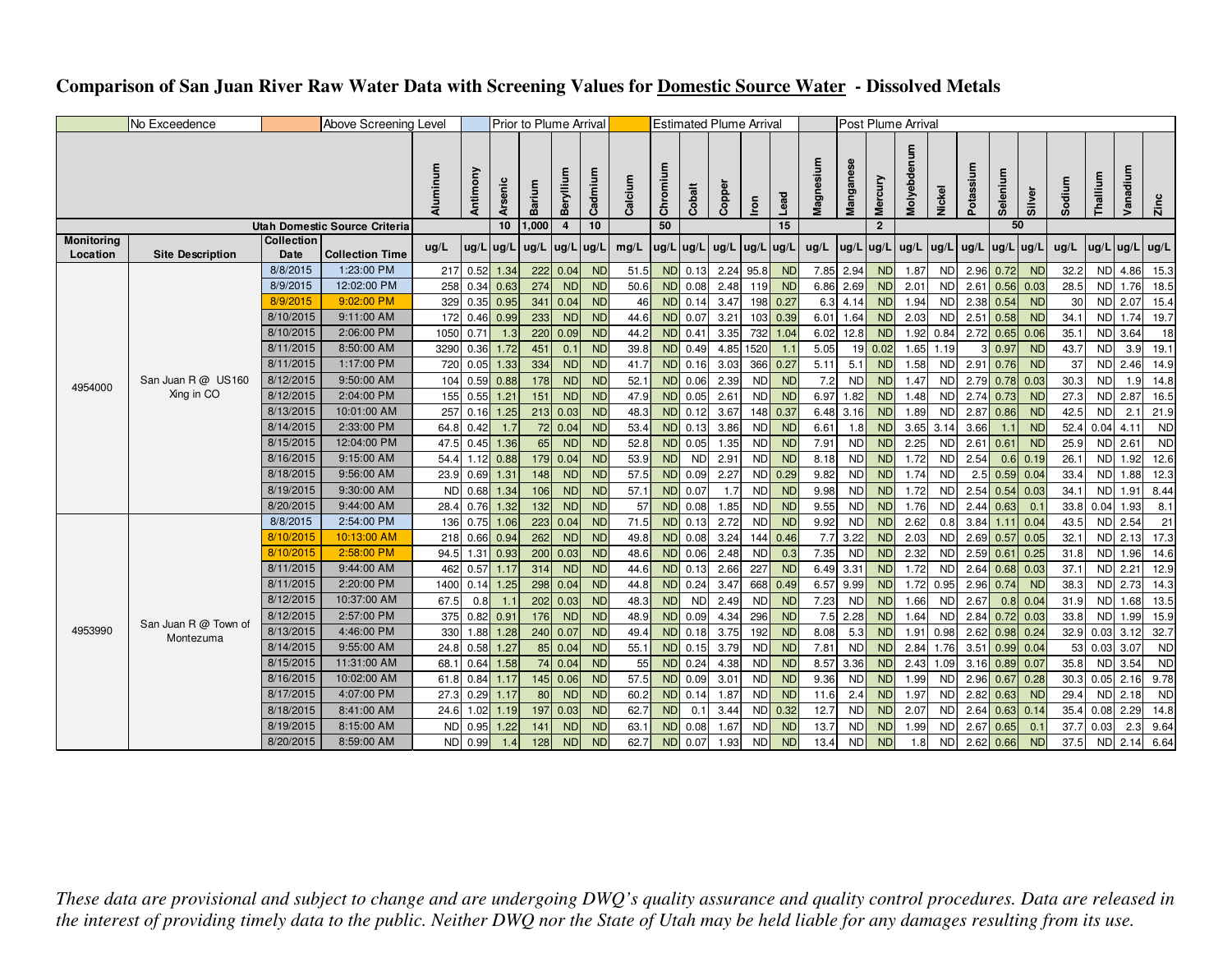## **Comparison of San Juan River Raw Water Data with Screening Values for Domestic Source Water - Dissolved Metals**

|                   | No Exceedence           |                   | <b>Above Screening Level</b>  |           |           |                  | Prior to Plume Arrival |                |           |         |                |           | <b>Estimated Plume Arrival</b> |                               |            |           |           |                | Post Plume Arrival |           |                      |           |              |        |             |             |           |
|-------------------|-------------------------|-------------------|-------------------------------|-----------|-----------|------------------|------------------------|----------------|-----------|---------|----------------|-----------|--------------------------------|-------------------------------|------------|-----------|-----------|----------------|--------------------|-----------|----------------------|-----------|--------------|--------|-------------|-------------|-----------|
|                   |                         |                   |                               | Aluminum  | Antimony  | Arsenic          | Barium                 | Beryllium      | Cadmium   | Calcium | Chromium<br>50 | Cobalt    | Copper                         | Iron                          | Lead<br>15 | Magnesium | Manganese | Mercury        | Molyebdenum        | Nickel    | Potassium            | Selenium  | Silver<br>50 | Sodium | Thallium    | Vanadium    | Zinc      |
| <b>Monitoring</b> |                         | <b>Collection</b> | Utah Domestic Source Criteria |           |           | 10 <sup>10</sup> | 1,000                  | $\overline{4}$ | 10        |         |                |           |                                |                               |            |           |           | $\overline{2}$ |                    |           |                      |           |              |        |             |             |           |
| Location          | <b>Site Description</b> | Date              | <b>Collection Time</b>        | ug/L      | ug/L ug/L |                  | ug/L                   | ug/L           | ug/L      | mg/L    | $ug/L$ ug/L    |           | ug/L                           | $\lfloor$ ug/L $\lfloor$ ug/L |            | ug/L      | ug/L      | ug/L           | ug/L               | ug/L      | $ug/L$   ug/L   ug/L |           |              | ug/L   |             | $ug/L$ ug/L | ug/L      |
|                   |                         | 8/8/2015          | 1:23:00 PM                    | 217       | 0.52      | 1.34             | 222                    | 0.04           | <b>ND</b> | 51.5    |                | ND 0.13   | 2.24                           | 95.8                          | <b>ND</b>  | 7.85      | 2.94      | <b>ND</b>      | 1.87               | <b>ND</b> | 2.96                 | 0.72      | <b>ND</b>    | 32.2   | <b>ND</b>   | 4.86        | 15.3      |
|                   |                         | 8/9/2015          | 12:02:00 PM                   | 258       | 0.34      | 0.63             | 274                    | <b>ND</b>      | <b>ND</b> | 50.6    |                | ND 0.08   | 2.48                           | 119                           | <b>ND</b>  | 6.86      | 2.69      | <b>ND</b>      | 2.01               | <b>ND</b> | 2.61                 | 0.56      | 0.03         | 28.5   | <b>ND</b>   | 1.76        | 18.5      |
|                   |                         | 8/9/2015          | 9:02:00 PM                    | 329       |           | $0.35$ 0.95      | 341                    | 0.04           | <b>ND</b> | 46      |                | ND 0.14   | 3.47                           |                               | 198 0.27   | 6.3       | 4.14      | <b>ND</b>      | 1.94               | <b>ND</b> | 2.38                 | 0.54      | <b>ND</b>    | 30     |             | ND 2.07     | 15.4      |
|                   |                         | 8/10/2015         | 9:11:00 AM                    | 172       |           | $0.46$ 0.99      | 233                    | <b>ND</b>      | <b>ND</b> | 44.6    |                | ND 0.07   | 3.21                           |                               | 103 0.39   | 6.01      | 1.64      | <b>ND</b>      | 2.03               | <b>ND</b> | 2.51                 | 0.58      | <b>ND</b>    | 34.1   |             | ND 1.74     | 19.7      |
|                   |                         | 8/10/2015         | 2:06:00 PM                    | 1050      | 0.71      | 1.3              | 220                    | 0.09           | <b>ND</b> | 44.2    |                | ND 0.41   | 3.35                           |                               | 732 1.04   | 6.02      | 12.8      | <b>ND</b>      | 1.92               | 0.84      | 2.72                 | 0.65      | 0.06         | 35.1   | <b>ND</b>   | 3.64        | 18        |
|                   |                         | 8/11/2015         | 8:50:00 AM                    | 3290      | 0.36      | 1.72             | 451                    | 0.1            | <b>ND</b> | 39.8    |                | ND 0.49   | 4.85                           | 1520                          | 1.1        | 5.05      | 19        | 0.02           | 1.65               | 1.19      | 3                    | 0.97      | <b>ND</b>    | 43.7   | <b>ND</b>   | 3.9         | 19.1      |
|                   |                         | 8/11/2015         | 1:17:00 PM                    | 720       | 0.05      | 1.33             | 334                    | <b>ND</b>      | <b>ND</b> | 41.7    |                | ND 0.16   | 3.03                           |                               | 366 0.27   | 5.11      | 5.1       | <b>ND</b>      | 1.58               | <b>ND</b> | 2.91                 | 0.76      | <b>ND</b>    | 37     | <b>ND</b>   | 2.46        | 14.9      |
| 4954000           | San Juan R @ US160      | 8/12/2015         | 9:50:00 AM                    | 104       |           | $0.59$ 0.88      | 178                    | <b>ND</b>      | <b>ND</b> | 52.1    |                | ND 0.06   | 2.39                           | ND                            | <b>ND</b>  | 7.2       | <b>ND</b> | <b>ND</b>      | 1.47               | <b>ND</b> | 2.79                 | 0.78      | 0.03         | 30.3   | <b>ND</b>   | 1.9         | 14.8      |
|                   | Xing in CO              | 8/12/2015         | 2:04:00 PM                    | 155       | 0.55      | 1.21             | 151                    | <b>ND</b>      | <b>ND</b> | 47.9    |                | ND 0.05   | 2.61                           | ND                            | <b>ND</b>  | 6.97      | 1.82      | <b>ND</b>      | 1.48               | <b>ND</b> | 2.74                 | 0.73      | <b>ND</b>    | 27.3   | <b>ND</b>   | 2.87        | 16.5      |
|                   |                         | 8/13/2015         | 10:01:00 AM                   | 257       | 0.16      | 1.25             | 213                    | 0.03           | <b>ND</b> | 48.3    |                | ND 0.12   | 3.67                           |                               | 148 0.37   | 6.48      | 3.16      | <b>ND</b>      | 1.89               | <b>ND</b> | 2.87                 | 0.86      | <b>ND</b>    | 42.5   | <b>ND</b>   | 2.1         | 21.9      |
|                   |                         | 8/14/2015         | 2:33:00 PM                    | 64.8      | 0.42      | 1.7              | 72                     | 0.04           | <b>ND</b> | 53.4    |                | ND 0.13   | 3.86                           | <b>ND</b>                     | <b>ND</b>  | 6.61      | 1.8       | <b>ND</b>      | 3.65               | 3.14      | 3.66                 | $\sim$ 1. | <b>ND</b>    | 52.4   | 0.04        | 4.11        | <b>ND</b> |
|                   |                         | 8/15/2015         | 12:04:00 PM                   | 47.5      | 0.45      | 1.36             | 65                     | <b>ND</b>      | <b>ND</b> | 52.8    |                | ND 0.05   | 1.35                           | ND                            | <b>ND</b>  | 7.91      | <b>ND</b> | <b>ND</b>      | 2.25               | <b>ND</b> | 2.61                 | 0.61      | <b>ND</b>    | 25.9   |             | ND 2.61     | ND        |
|                   |                         | 8/16/2015         | 9:15:00 AM                    | 54.4      | 1.12      | 0.88             | 179                    | 0.04           | <b>ND</b> | 53.9    | <b>ND</b>      | <b>ND</b> | 2.91                           | ND                            | <b>ND</b>  | 8.18      | <b>ND</b> | <b>ND</b>      | 1.72               | <b>ND</b> | 2.54                 | 0.6       | 0.19         | 26.1   |             | ND 1.92     | 12.6      |
|                   |                         | 8/18/2015         | 9:56:00 AM                    | 23.9      | 0.69      | 1.31             | 148                    | <b>ND</b>      | <b>ND</b> | 57.5    |                | ND 0.09   | 2.27                           |                               | ND 0.29    | 9.82      | <b>ND</b> | <b>ND</b>      | 1.74               | <b>ND</b> | 2.5                  | 0.59      | 0.04         | 33.4   | <b>ND</b>   | 1.88        | 12.3      |
|                   |                         | 8/19/2015         | 9:30:00 AM                    | <b>ND</b> | 0.68      | 1.34             | 106                    | <b>ND</b>      | <b>ND</b> | 57.1    |                | ND 0.07   | 1.7                            | ND                            | <b>ND</b>  | 9.98      | <b>ND</b> | <b>ND</b>      | 1.72               | <b>ND</b> | 2.54                 | 0.54      | 0.03         | 34.1   | <b>ND</b>   | 1.91        | 8.44      |
|                   |                         | 8/20/2015         | 9:44:00 AM                    | 28.4      | 0.76      | 1.32             | 132                    | <b>ND</b>      | <b>ND</b> | 57      |                | ND 0.08   | 1.85                           | ND                            | <b>ND</b>  | 9.55      | <b>ND</b> | <b>ND</b>      | 1.76               | <b>ND</b> | 2.44                 | 0.63      | 0.1          | 33.8   | 0.04        | 1.93        | 8.1       |
|                   |                         | 8/8/2015          | 2:54:00 PM                    | 136       | 0.75      | 1.06             | 223                    | 0.04           | <b>ND</b> | 71.5    |                | ND 0.13   | 2.72                           | ND                            | <b>ND</b>  | 9.92      | <b>ND</b> | <b>ND</b>      | 2.62               | 0.8       | 3.84                 | 1.11      | 0.04         | 43.5   | <b>ND</b>   | 2.54        | 21        |
|                   |                         | 8/10/2015         | 10:13:00 AM                   | 218       | 0.66      | 0.94             | 262                    | <b>ND</b>      | <b>ND</b> | 49.8    |                | ND 0.08   | 3.24                           |                               | 144 0.46   | 7.7       | 3.22      | <b>ND</b>      | 2.03               | <b>ND</b> | 2.69                 |           | $0.57$ 0.05  | 32.1   |             | ND 2.13     | 17.3      |
|                   |                         | 8/10/2015         | 2:58:00 PM                    | 94.5      | 1.31      | 0.93             | 200                    | 0.03           | <b>ND</b> | 48.6    |                | ND 0.06   | 2.48                           | ND                            | 0.3        | 7.35      | <b>ND</b> | <b>ND</b>      | 2.32               | <b>ND</b> | 2.59                 | 0.61      | 0.25         | 31.8   | <b>ND</b>   | 1.96        | 14.6      |
|                   |                         | 8/11/2015         | 9:44:00 AM                    | 462       | 0.57      | 1.17             | 314                    | <b>ND</b>      | <b>ND</b> | 44.6    |                | ND 0.13   | 2.66                           | 227                           | <b>ND</b>  | 6.49      | 3.31      | <b>ND</b>      | 1.72               | <b>ND</b> | 2.64                 | 0.68      | 0.03         | 37.1   | <b>ND</b>   | 2.21        | 12.9      |
|                   |                         | 8/11/2015         | 2:20:00 PM                    | 1400      |           | $0.14$ 1.25      | 298                    | 0.04           | <b>ND</b> | 44.8    |                | ND 0.24   | 3.47                           |                               | 668 0.49   | 6.57      | 9.99      | <b>ND</b>      | 1.72               | 0.95      | 2.96                 | 0.74      | <b>ND</b>    | 38.3   |             | ND 2.73     | 14.3      |
|                   |                         | 8/12/2015         | 10:37:00 AM                   | 67.5      | 0.8       | 1.1              | 202                    | 0.03           | <b>ND</b> | 48.3    | <b>ND</b>      | <b>ND</b> | 2.49                           | ND                            | <b>ND</b>  | 7.23      | <b>ND</b> | <b>ND</b>      | 1.66               | <b>ND</b> | 2.67                 | 0.8       | 0.04         | 31.9   |             | ND 1.68     | 13.5      |
|                   | San Juan R @ Town of    | 8/12/2015         | 2:57:00 PM                    | 375       |           | $0.82$ 0.91      | 176                    | <b>ND</b>      | <b>ND</b> | 48.9    |                | ND 0.09   | 4.34                           | 296                           | <b>ND</b>  | 7.5       | 2.28      | <b>ND</b>      | 1.64               | <b>ND</b> | 2.84                 |           | $0.72$ 0.03  | 33.8   | <b>ND</b>   | 1.99        | 15.9      |
| 4953990           | Montezuma               | 8/13/2015         | 4:46:00 PM                    | 330       | 1.88      | 1.28             |                        | 240 0.07       | <b>ND</b> | 49.4    |                | ND 0.18   | 3.75                           | 192                           | <b>ND</b>  | 8.08      | 5.3       | <b>ND</b>      | 1.91               | 0.98      | 2.62                 |           | $0.98$ 0.24  | 32.9   | $0.03$ 3.12 |             | 32.7      |
|                   |                         | 8/14/2015         | 9:55:00 AM                    | 24.8      | 0.58      | 1.27             | 85                     | 0.04           | <b>ND</b> | 55.     |                | ND 0.15   | 3.79                           | ND                            | <b>ND</b>  | 7.81      | <b>ND</b> | <b>ND</b>      | 2.84               | 1.76      | 3.51                 | 0.99      | 0.04         | 53     | $0.03$ 3.07 |             | ND        |
|                   |                         | 8/15/2015         | 11:31:00 AM                   | 68.1      | 0.64      | 1.58             | 74                     | 0.04           | <b>ND</b> | 55      |                | ND 0.24   | 4.38                           | <b>ND</b>                     | <b>ND</b>  | 8.57      | 3.36      | <b>ND</b>      | 2.43               | 1.09      | 3.16                 | 0.89      | 0.07         | 35.8   | <b>ND</b>   | 3.54        | <b>ND</b> |
|                   |                         | 8/16/2015         | 10:02:00 AM                   | 61.8      |           | $0.84$ 1.17      | 145                    | 0.06           | <b>ND</b> | 57.5    |                | ND 0.09   | 3.01                           | ND                            | <b>ND</b>  | 9.36      | <b>ND</b> | <b>ND</b>      | 1.99               | <b>ND</b> | 2.96                 | 0.67      | 0.28         | 30.3   | 0.05        | 2.16        | 9.78      |
|                   |                         | 8/17/2015         | 4:07:00 PM                    | 27.3      | 0.29      | 1.17             | 80                     | <b>ND</b>      | <b>ND</b> | 60.2    |                | ND 0.14   | 1.87                           | ND                            | <b>ND</b>  | 11.6      | 2.4       | <b>ND</b>      | 1.97               | <b>ND</b> | 2.82                 | 0.63      | <b>ND</b>    | 29.4   |             | ND 2.18     | <b>ND</b> |
|                   |                         | 8/18/2015         | 8:41:00 AM                    | 24.6      | 1.02      | 1.19             | 197                    | 0.03           | <b>ND</b> | 62.7    | <b>ND</b>      | 0.1       | 3.44                           |                               | ND 0.32    | 12.7      | <b>ND</b> | <b>ND</b>      | 2.07               | <b>ND</b> | 2.64                 | 0.63      | 0.14         | 35.4   | 0.08        | 2.29        | 14.8      |
|                   |                         | 8/19/2015         | 8:15:00 AM                    | <b>ND</b> | 0.95      | 1.22             | 141                    | <b>ND</b>      | <b>ND</b> | 63.     |                | ND 0.08   | 1.67                           | ND                            | <b>ND</b>  | 13.7      | <b>ND</b> | <b>ND</b>      | 1.99               | <b>ND</b> | 2.67                 | 0.65      | 0.1          | 37.7   | 0.03        | 2.3         | 9.64      |
|                   |                         | 8/20/2015         | 8:59:00 AM                    | <b>ND</b> | 0.99      |                  | 128                    | <b>ND</b>      | <b>ND</b> | 62.     |                | ND 0.07   | 1.93                           | ND                            | <b>ND</b>  | 13.4      | <b>ND</b> | <b>ND</b>      | 1.8                | <b>ND</b> | 2.62                 | 0.66      | <b>ND</b>    | 37.5   | ND          | 2.14        | 6.64      |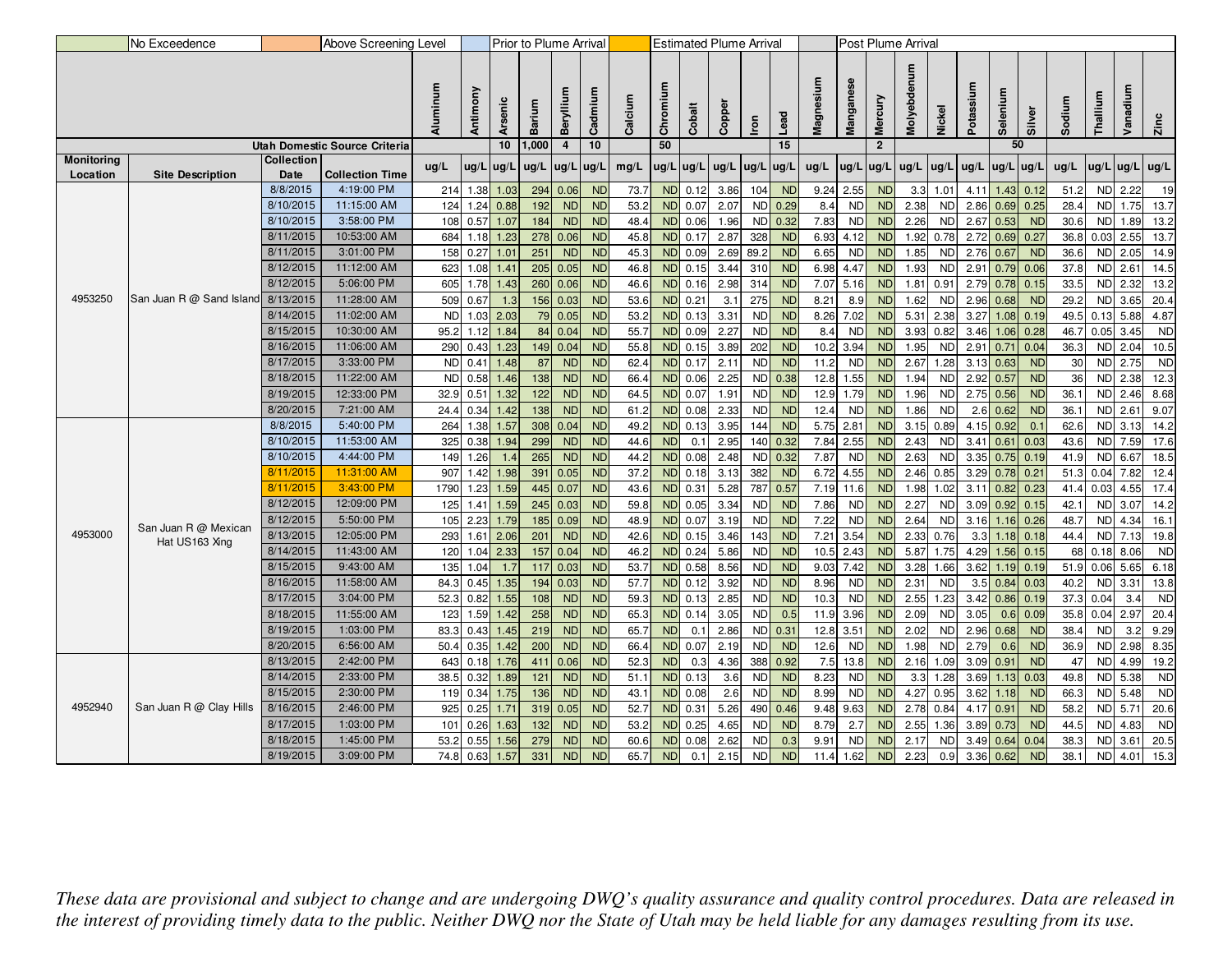|                   | No Exceedence            |                        | Above Screening Level                |              |              |              | Prior to Plume Arrival |                         |                        |              |                        |              |              | <b>Estimated Plume Arrival</b> |           |              |                        |                        | Post Plume Arrival |                   |              |                        |              |              |                   |              |                   |
|-------------------|--------------------------|------------------------|--------------------------------------|--------------|--------------|--------------|------------------------|-------------------------|------------------------|--------------|------------------------|--------------|--------------|--------------------------------|-----------|--------------|------------------------|------------------------|--------------------|-------------------|--------------|------------------------|--------------|--------------|-------------------|--------------|-------------------|
|                   |                          |                        |                                      | Aluminum     | Antimony     | Arsenic      | Barium                 | Beryllium               | Cadmium                | Calcium      | Chromium               | Cobalt       | Copper       | Iron                           | Lead      | Magnesium    | Manganese              | Mercury                | Molyebdenum        | Nickel            | Potassium    | Selenium               | Silver       | Sodium       | Thallium          | Vanadi       | Zinc              |
|                   |                          |                        | <b>Utah Domestic Source Criteria</b> |              |              | 10           | 1,000                  | $\overline{\mathbf{4}}$ | 10                     |              | 50                     |              |              |                                | 15        |              |                        | $\overline{2}$         |                    |                   |              | 50                     |              |              |                   |              |                   |
| <b>Monitoring</b> |                          | <b>Collection</b>      |                                      | ug/L         | ug/L         | ug/L         | ug/L                   | ug/L                    | ug/L                   | mg/L         | $ug/L$ ug/L            |              | ug/L         | ug/L ug/L                      |           | ug/L         | $\log/L$               | ug/L                   | ug/L               | ug/L              | ug/L         | ug/L                   | ug/L         | ug/L         | ug/L              | $ug/L$ ug/L  |                   |
| Location          | <b>Site Description</b>  | Date                   | <b>Collection Time</b>               |              |              |              |                        |                         |                        |              |                        |              |              |                                |           |              |                        |                        |                    |                   |              |                        |              |              |                   |              |                   |
|                   |                          | 8/8/2015               | 4:19:00 PM                           | 214          | 1.38         | 1.03         | 294                    | 0.06                    | <b>ND</b>              | 73.7         | <b>ND</b>              | 0.12         | 3.86         | 104                            | <b>ND</b> | 9.24         | 2.55                   | <b>ND</b>              | 3.3                | 1.01              | 4.11         | 1.43                   | 0.12         | 51.2         |                   | ND 2.22      | 19                |
|                   |                          | 8/10/2015              | 11:15:00 AM                          | 124          | 1.24         | 0.88         | 192                    | <b>ND</b>               | <b>ND</b>              | 53.2         | <b>ND</b>              | 0.07         | 2.07         |                                | ND 0.29   | 8.4          | <b>ND</b>              | <b>ND</b>              | 2.38               | <b>ND</b>         | 2.86         | 0.69                   | 0.25         | 28.4         | <b>ND</b>         | 1.75         | 13.7              |
|                   |                          | 8/10/2015              | 3:58:00 PM                           | 108          | 0.57         | 1.07         | 184                    | <b>ND</b>               | <b>ND</b>              | 48.4         |                        | ND 0.06      | 1.96         |                                | ND 0.32   | 7.83         | <b>ND</b>              | <b>ND</b>              | 2.26               | <b>ND</b>         | $2.67$ 0.53  |                        | <b>ND</b>    | 30.6         | <b>ND</b>         | 1.89         | 13.2              |
|                   |                          | 8/11/2015              | 10:53:00 AM                          | 684          | 1.18         | 1.23         | 278                    | 0.06                    | <b>ND</b>              | 45.8         | <b>ND</b>              | 0.17         | 2.87         | 328                            | <b>ND</b> | 6.93         | 4.12                   | <b>ND</b>              | 1.92               | 0.78              | $2.72$ 0.69  |                        | 0.27         | 36.8         |                   | $0.03$ 2.55  | 13.7              |
|                   |                          | 8/11/2015              | 3:01:00 PM                           | 158          | 0.27         | 1.01         | 251                    | <b>ND</b>               | <b>ND</b>              | 45.3         | <b>ND</b>              | 0.09         | 2.69         | 89.2                           | <b>ND</b> | 6.65         | <b>ND</b>              | <b>ND</b>              | 1.85               | <b>ND</b>         | $2.76$ 0.67  |                        | <b>ND</b>    | 36.6         |                   | ND 2.05      | 14.9              |
|                   |                          | 8/12/2015              | 11:12:00 AM                          | 623          | 1.08         | 1.41         | 205                    | 0.05                    | <b>ND</b>              | 46.8         | <b>ND</b>              | 0.15         | 3.44         | 310                            | <b>ND</b> | 6.98         | 4.47                   | <b>ND</b>              | 1.93               | <b>ND</b>         | 2.91         | 0.79                   | 0.06         | 37.8         |                   | ND 2.61      | 14.5              |
|                   |                          | 8/12/2015              | 5:06:00 PM                           | 605          | 1.78         | 1.43         | 260                    | 0.06                    | <b>ND</b>              | 46.6         | <b>ND</b>              | 0.16         | 2.98         | 314                            | <b>ND</b> | 7.07         | 5.16                   | <b>ND</b>              | 1.81               | 0.91              |              | $\overline{2.79}$ 0.78 | 0.15         | 33.5         | <b>ND</b>         | 2.32         | 13.2              |
| 4953250           | San Juan R @ Sand Island | 8/13/2015              | 11:28:00 AM                          | 509          | 0.67         | 1.3          | 156                    | 0.03                    | <b>ND</b>              | 53.6         | <b>ND</b>              | 0.21         | 3.1          | 275                            | <b>ND</b> | 8.21         | 8.9                    | ND                     | 1.62               | <b>ND</b>         |              | $2.96$ 0.68            | <b>ND</b>    | 29.2         | <b>ND</b>         | 3.65         | 20.4              |
|                   |                          | 8/14/2015              | 11:02:00 AM                          | <b>ND</b>    | 1.03         | 2.03         |                        | 79 0.05                 | <b>ND</b>              | 53.2         | <b>ND</b>              | 0.13         | 3.31         | <b>ND</b>                      | <b>ND</b> | 8.26         | 7.02                   | <b>ND</b>              | 5.31               | 2.38              | 3.27         | 1.08                   | 0.19         | 49.5         | 0.13              | 5.88         | 4.87              |
|                   |                          | 8/15/2015              | 10:30:00 AM                          | 95.2         | 1.12         | 1.84         | 84                     | 0.04                    | <b>ND</b>              | 55.7         | <b>ND</b>              | 0.09         | 2.27         | <b>ND</b>                      | <b>ND</b> | 8.4          | <b>ND</b>              | <b>ND</b>              | 3.93               | 0.82              | 3.46         | 1.06                   | 0.28         | 46.7         | 0.05              | 3.45         | <b>ND</b>         |
|                   |                          | 8/16/2015              | 11:06:00 AM                          | 290          | 0.43         | 1.23         | 149                    | 0.04                    | <b>ND</b>              | 55.8         | <b>ND</b>              | 0.15         | 3.89         | 202                            | <b>ND</b> | 10.2         | 3.94                   | ND                     | 1.95               | N <sub>D</sub>    | 2.91         | 0.71                   | 0.04         | 36.3         | <b>ND</b>         | 2.04         | 10.5              |
|                   |                          | 8/17/2015              | 3:33:00 PM                           | <b>ND</b>    | 0.41         | 1.48         | 87                     | <b>ND</b>               | <b>ND</b>              | 62.          | <b>ND</b>              | 0.17         | 2.11         | <b>ND</b>                      | <b>ND</b> | 11.2         | <b>ND</b>              | <b>ND</b>              | 2.67               | 1.28              | $3.13$ 0.63  |                        | <b>ND</b>    | 30           | <b>ND</b>         | 2.75         | <b>ND</b>         |
|                   |                          | 8/18/2015              | 11:22:00 AM                          | <b>ND</b>    | 0.58         | 1.46         | 138                    | <b>ND</b>               | <b>ND</b>              | 66.          | <b>ND</b>              | 0.06         | 2.25         |                                | ND 0.38   | 12.8         | 1.55                   | <b>ND</b>              | 1.94               | <b>ND</b>         | $2.92$ 0.57  |                        | <b>ND</b>    | 36           | <b>ND</b>         | 2.38         | 12.3              |
|                   |                          | 8/19/2015              | 12:33:00 PM                          | 32.9         | 0.51         | 1.32         | 122                    | <b>ND</b>               | <b>ND</b>              | 64.5         | <b>ND</b>              | 0.07         | 1.91         | <b>ND</b>                      | <b>ND</b> | 12.9         | 1.79                   | <b>ND</b>              | 1.96               | <b>ND</b>         | $2.75$ 0.56  |                        | <b>ND</b>    | 36.1         | <b>ND</b>         | 2.46         | 8.68              |
|                   |                          | 8/20/2015              | 7:21:00 AM                           | 24.4         | 0.34         | 1.42         | 138                    | <b>ND</b>               | <b>ND</b>              | 61.2         | <b>ND</b>              | 0.08         | 2.33         | ND                             | <b>ND</b> | 12.4         | <b>ND</b>              | <b>ND</b>              | 1.86               | <b>ND</b>         |              | $2.6$ 0.62             | <b>ND</b>    | 36.1         | <b>ND</b>         | 2.61         | 9.07              |
|                   |                          | 8/8/2015               | 5:40:00 PM                           | 264          | 1.38         | 1.57         | 308                    | 0.04                    | <b>ND</b>              | 49.2         | <b>ND</b>              | 0.13         | 3.95         | 144                            | <b>ND</b> | 5.75         | 2.81                   | ND                     | 3.15               | 0.89              |              | 4.15 0.92              | 0.1          | 62.6         |                   | ND 3.13      | 14.2              |
|                   |                          | 8/10/2015              | 11:53:00 AM                          | 325          | 0.38         | 1.94         | 299                    | <b>ND</b>               | <b>ND</b>              | 44.6         | <b>ND</b>              | 0.1          | 2.95         | 140                            | 0.32      | 7.84         | 2.55                   | N <sub>D</sub>         | 2.43               | <b>ND</b>         | $3.41$ 0.61  |                        | 0.03         | 43.6         |                   | ND 7.59      | 17.6              |
|                   |                          | 8/10/2015              | 4:44:00 PM                           | 149          | 1.26         | 1.4          | 265                    | <b>ND</b>               | <b>ND</b>              | 44.2         | <b>ND</b>              | 0.08         | 2.48         |                                | ND 0.32   | 7.87         | <b>ND</b>              | <b>ND</b>              | 2.63               | <b>ND</b>         |              | $3.35$ 0.75            | 0.19         | 41.9         | <b>ND</b>         | 6.67         | 18.5              |
|                   |                          | 8/11/2015              | 11:31:00 AM                          | 907          | 1.42         | 1.98         | 391                    | 0.05                    | <b>ND</b>              | 37.2         | <b>ND</b>              | 0.18         | 3.13         | 382                            | <b>ND</b> | 6.72         | 4.55                   | <b>ND</b>              | 2.46               | 0.85              |              | $3.29$ 0.78            | 0.21         | 51.3         | 0.04              | 7.82         | 12.4              |
|                   |                          | 8/11/2015<br>8/12/2015 | 3:43:00 PM<br>12:09:00 PM            | 1790         | 1.23         | 1.59         | 445                    | 0.07                    | <b>ND</b>              | 43.6         | <b>ND</b>              | 0.31         | 5.28         | 787                            | 0.57      | 7.19         | 11.6                   | <b>ND</b>              | 1.98               | 1.02              | 3.11         | 0.82                   | 0.23         | 41.4         | 0.03              | 4.55         | 17.4              |
|                   |                          |                        |                                      | 125          | 1.41         | 1.59         | 245                    | 0.03                    | <b>ND</b>              | 59.8         | <b>ND</b>              | 0.05         | 3.34         | ND                             | <b>ND</b> | 7.86         | <b>ND</b>              | ND                     | 2.27               | <b>ND</b>         |              | $3.09$ $0.92$          | 0.15         | 42.1         |                   | ND 3.07      | 14.2              |
| 4953000           | San Juan R @ Mexican     | 8/12/2015<br>8/13/2015 | 5:50:00 PM<br>12:05:00 PM            | 105          | 2.23         | 1.79         | 185                    | 0.09                    | <b>ND</b>              | 48.9         | <b>ND</b>              | 0.07         | 3.19         | <b>ND</b>                      | <b>ND</b> | 7.22         | <b>ND</b>              | <b>ND</b>              | 2.64               | <b>ND</b>         | 3.16         | 1.16                   | 0.26         | 48.7         | <b>ND</b>         | 4.34         | 16.1              |
|                   | Hat US163 Xing           | 8/14/2015              | 11:43:00 AM                          | 293          | 1.61         | 2.06         | 201                    | <b>ND</b>               | <b>ND</b>              | 42.6         | <b>ND</b>              | 0.15         | 3.46         | 143                            | <b>ND</b> | 7.21         | 3.54                   | <b>ND</b>              | 2.33               | 0.76              | 3.3          | 1.18                   | 0.18         | 44.4         | <b>ND</b>         | 7.13         | 19.8              |
|                   |                          | 8/15/2015              | 9:43:00 AM                           | 120          | 1.04         | 2.33         | 157                    | 0.04                    | <b>ND</b>              | 46.2         | <b>ND</b>              | 0.24         | 5.86         | <b>ND</b>                      | <b>ND</b> | 10.5         | 2.43                   | <b>ND</b>              | 5.87               | 1.75              | 4.29         | 1.56                   | 0.15         | 68           | 0.18              | 8.06         | <b>ND</b>         |
|                   |                          | 8/16/2015              | 11:58:00 AM                          | 135<br>84.3  | 1.04<br>0.45 | 1.7<br>1.35  | 117<br>194             | 0.03<br>0.03            | <b>ND</b><br><b>ND</b> | 53.7<br>57.7 | <b>ND</b><br><b>ND</b> | 0.58<br>0.12 | 8.56<br>3.92 | ND<br><b>ND</b>                | ND<br>ND  | 9.03         | 7.42<br><b>ND</b>      | <b>ND</b><br><b>ND</b> | 3.28<br>2.31       | 1.66<br><b>ND</b> | 3.62         | 1.19<br>$3.5$ 0.84     | 0.19         | 51.9<br>40.2 | 0.06<br><b>ND</b> | 5.65<br>3.31 | 6.18              |
|                   |                          | 8/17/2015              | 3:04:00 PM                           | 52.3         | 0.82         | 1.55         | 108                    | <b>ND</b>               | <b>ND</b>              | 59.3         | <b>ND</b>              | 0.13         | 2.85         | <b>ND</b>                      | <b>ND</b> | 8.96<br>10.3 | <b>ND</b>              | ND                     | 2.55               | 1.23              | 3.42         | 0.86                   | 0.03<br>0.19 | 37.3         | 0.04              | 3.4          | 13.8<br><b>ND</b> |
|                   |                          | 8/18/2015              | 11:55:00 AM                          |              | 1.59         |              |                        |                         |                        | 65.3         | <b>ND</b>              | 0.14         | 3.05         | <b>ND</b>                      | 0.5       |              |                        | <b>ND</b>              | 2.09               | <b>ND</b>         |              | 0.6                    | 0.09         |              | 0.04              | 2.97         | 20.4              |
|                   |                          | 8/19/2015              | 1:03:00 PM                           | 123          |              | 1.42         | 258                    | <b>ND</b>               | <b>ND</b><br><b>ND</b> |              |                        |              |              |                                | ND 0.31   | 11.9<br>12.8 | 3.96<br>3.51           | <b>ND</b>              |                    | ND                | 3.05         |                        | <b>ND</b>    | 35.8         | <b>ND</b>         | 3.2          |                   |
|                   |                          | 8/20/2015              | 6:56:00 AM                           | 83.3<br>50.4 | 0.43<br>0.35 | 1.45<br>1.42 | 219<br>200             | <b>ND</b><br><b>ND</b>  | <b>ND</b>              | 65.7         | <b>ND</b><br><b>ND</b> | 0.1<br>0.07  | 2.86<br>2.19 | ND                             | <b>ND</b> |              | <b>ND</b>              | <b>ND</b>              | 2.02<br>1.98       | <b>ND</b>         | 2.96<br>2.79 | 0.68                   | <b>ND</b>    | 38.4<br>36.9 | <b>ND</b>         | 2.98         | 9.29<br>8.35      |
|                   |                          | 8/13/2015              | 2:42:00 PM                           | 643          | 0.18         | 1.76         | 411                    | 0.06                    | <b>ND</b>              | 66.4<br>52.3 | <b>ND</b>              | 0.3          | 4.36         | 388                            | 0.92      | 12.6<br>7.5  | 13.8                   | ND                     | 2.16               | 1.09              | 3.09         | 0.6<br>0.91            | <b>ND</b>    | 47           | <b>ND</b>         | 4.99         | 19.2              |
|                   |                          | 8/14/2015              | 2:33:00 PM                           | 38.5         | 0.32         | 1.89         | 121                    | <b>ND</b>               | <b>ND</b>              | 51.          | <b>ND</b>              | 0.13         | 3.6          | <b>ND</b>                      | <b>ND</b> | 8.23         |                        | <b>ND</b>              | 3.3                | 1.28              | 3.69         |                        | 0.03         | 49.8         | <b>ND</b>         | 5.38         | <b>ND</b>         |
|                   |                          | 8/15/2015              | 2:30:00 PM                           |              | 0.34         |              |                        |                         | <b>ND</b>              |              | <b>ND</b>              | 0.08         | 2.6          | <b>ND</b>                      | <b>ND</b> |              | <b>ND</b><br><b>ND</b> | <b>ND</b>              | 4.27               | 0.95              |              | 1.13                   | <b>ND</b>    | 66.3         | <b>ND</b>         | 5.48         | <b>ND</b>         |
| 4952940           | San Juan R @ Clay Hills  | 8/16/2015              | 2:46:00 PM                           | 119<br>925   | 0.25         | 1.75<br>1.71 | 136<br>319             | <b>ND</b><br>0.05       | <b>ND</b>              | 43.<br>52.7  | <b>ND</b>              | 0.31         | 5.26         |                                | 490 0.46  | 8.99<br>9.48 | 9.63                   | <b>ND</b>              | 2.78               | 0.84              | 4.17 0.91    | $3.62$ 1.18            | <b>ND</b>    | 58.2         | <b>ND</b>         | 5.71         | 20.6              |
|                   |                          | 8/17/2015              | 1:03:00 PM                           | 101          | 0.26         | 1.63         | 132                    | <b>ND</b>               | <b>ND</b>              | 53.2         | <b>ND</b>              | 0.25         | 4.65         | <b>ND</b>                      | <b>ND</b> | 8.79         | 2.7                    | <b>ND</b>              | 2.55               | 1.36              |              | $3.89$ 0.73            | <b>ND</b>    | 44.5         | <b>ND</b>         | 4.83         | <b>ND</b>         |
|                   |                          | 8/18/2015              | 1:45:00 PM                           | 53.2         | 0.55         | 1.56         | 279                    | <b>ND</b>               | <b>ND</b>              | 60.6         | <b>ND</b>              | 0.08         | 2.62         | <b>ND</b>                      | 0.3       | 9.91         | ND                     | <b>ND</b>              | 2.17               | <b>ND</b>         | $3.49$ 0.64  |                        | 0.04         | 38.3         | <b>ND</b>         | 3.61         |                   |
|                   |                          | 8/19/2015              | 3:09:00 PM                           |              |              |              | 331                    | <b>ND</b>               | <b>ND</b>              | 65.7         | <b>ND</b>              |              |              | <b>ND</b>                      | <b>ND</b> | 11.4         | 1.62                   | <b>ND</b>              | 2.23               |                   |              |                        | <b>ND</b>    | 38.1         | <b>ND</b>         |              | 20.5              |
|                   |                          |                        |                                      | 74.8         | 0.63         | 1.57         |                        |                         |                        |              |                        | 0.1          | 2.15         |                                |           |              |                        |                        |                    | 0.9               |              | $3.36$ 0.62            |              |              |                   | 4.01         | 15.3              |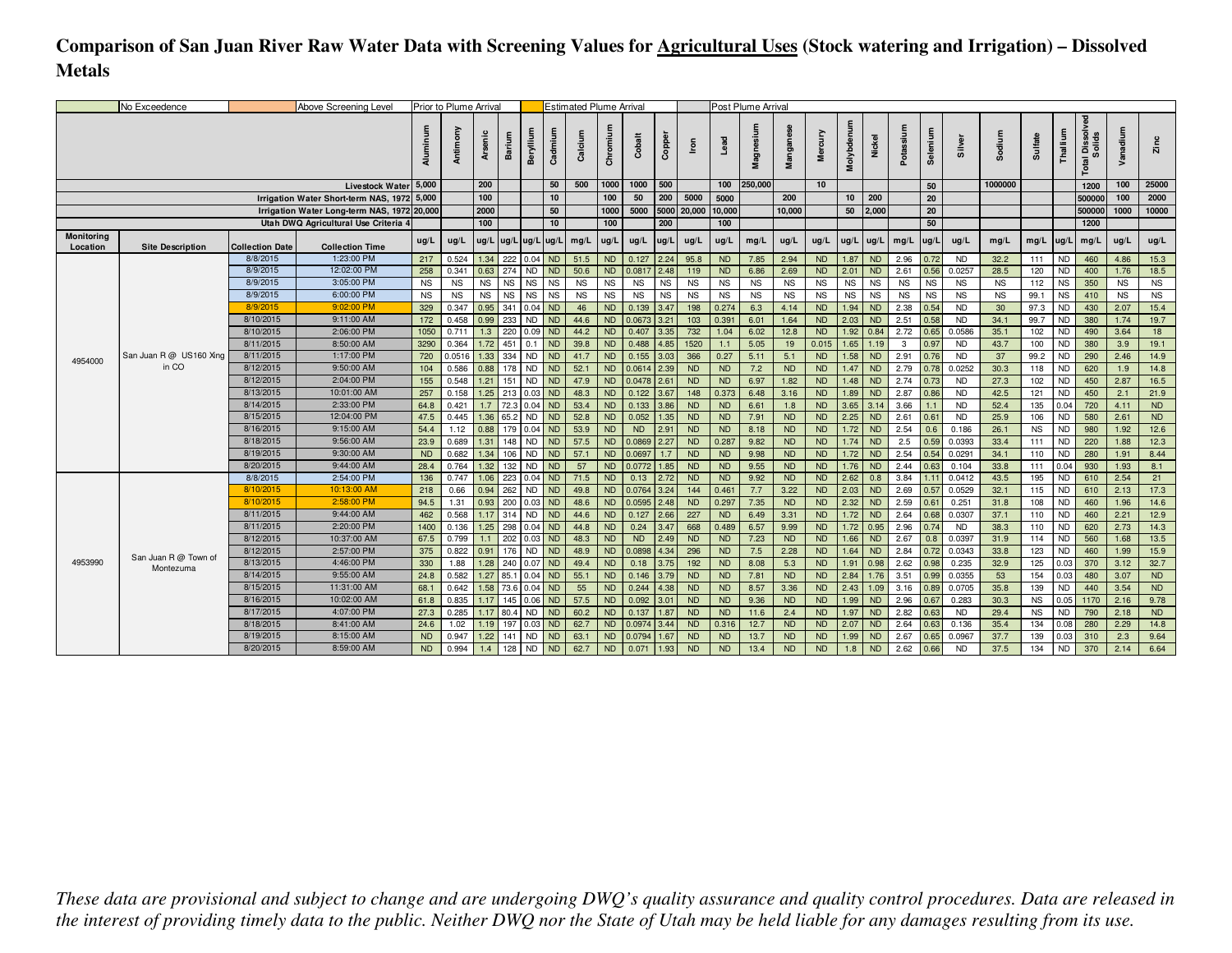# **Comparison of San Juan River Raw Water Data with Screening Values for Agricultural Uses (Stock watering and Irrigation) – Dissolved Metals**

|                        | No Exceedence           |                        | Above Screening Level                       |             | Prior to Plume Arrival |              |             |                        |                        | <b>Estimated Plume Arrival</b> |                 |                 |               |                  |                        | Post Plume Arrival |                  |                        |                |                   |              |              |                     |              |            |                        |                             |              |              |
|------------------------|-------------------------|------------------------|---------------------------------------------|-------------|------------------------|--------------|-------------|------------------------|------------------------|--------------------------------|-----------------|-----------------|---------------|------------------|------------------------|--------------------|------------------|------------------------|----------------|-------------------|--------------|--------------|---------------------|--------------|------------|------------------------|-----------------------------|--------------|--------------|
|                        |                         |                        |                                             | Aluminum    | Antimony               | Arsenic      | Barium      | Beryllium              | Cadmium                | Calcium                        | Chromi          | Cobalt          | Copper        | Iron             | Lead                   | Magnesiu           | Mangane          | Mercury                | Molybdenum     | ckel<br>ž         | Potassi      | Selenium     | Silver              | Sodium       | Sulfate    | Thallium               | l Dissolv<br>Solids<br>otal | Vanadium     | Zinc         |
|                        |                         |                        | Livestock Water 5,000                       |             |                        | 200          |             |                        | 50                     | 500                            | 1000            | 1000            | 500           |                  | 100                    | 250,000            |                  | 10 <sup>10</sup>       |                |                   |              | 50           |                     | 1000000      |            |                        | 1200                        | 100          | 25000        |
|                        |                         |                        | Irrigation Water Short-term NAS, 1972 5,000 |             |                        | 100          |             |                        | 10                     |                                | 100             | 50              | 200           | 5000             | 5000                   |                    | 200              |                        | 10             | 200               |              | 20           |                     |              |            |                        | 500000                      | 100          | 2000         |
|                        |                         |                        | Irrigation Water Long-term NAS, 1972 20,000 |             |                        | 2000         |             |                        | 50                     |                                | 1000            | 5000            |               | 5000 20,000      | 10,000                 |                    | 10,000           |                        | 50             | 2,000             |              | 20           |                     |              |            |                        | 500000                      | 1000         | 10000        |
|                        |                         |                        | Utah DWQ Agricultural Use Criteria 4        |             |                        | 100          |             |                        | 10                     |                                | 100             |                 | 200           |                  | 100                    |                    |                  |                        |                |                   |              | 50           |                     |              |            |                        | 1200                        |              |              |
| Monitoring<br>Location | <b>Site Description</b> | <b>Collection Date</b> | <b>Collection Time</b>                      | ug/L        | ug/L                   |              |             | ug/L  ug/L  ug/L  ug/L |                        | mg/L                           | ug/L            | uq/L            | ug/L          | ug/L             | ug/L                   | mg/L               | ug/L             | ug/L                   |                | $ug/L$ $ug/L$     | mg/L         | ug/l         | ug/L                | mq/L         | mg/L       | $\mu$ g/L              | mg/L                        | ug/L         | ug/L         |
|                        |                         | 8/8/2015               | 1:23:00 PM                                  | 217         | 0.524                  | 1.34         |             | 222 0.04 ND            |                        | 51.5                           | <b>ND</b>       | 0.127           | 2.24          | 95.8             | <b>ND</b>              | 7.85               | 2.94             | <b>ND</b>              |                | 1.87 ND           | 2.96         | 0.72         | <b>ND</b>           | 32.2         | 111        | <b>ND</b>              | 460                         | 4.86         | 15.3         |
|                        |                         | 8/9/2015               | 12:02:00 PM                                 | 258         | 0.341                  | 0.63         | 274         | <b>ND</b>              | <b>ND</b>              | 50.6                           | <b>ND</b>       | 0.0817          | 2.48          | 119              | <b>ND</b>              | 6.86               | 2.69             | <b>ND</b>              | 2.01           | <b>ND</b>         | 2.61         | 0.56         | 0.0257              | 28.5         | 120        | <b>ND</b>              | 400                         | 1.76         | 18.5         |
|                        |                         | 8/9/2015               | 3:05:00 PM                                  | <b>NS</b>   | <b>NS</b>              | <b>NS</b>    | <b>NS</b>   | <b>NS</b>              | <b>NS</b>              | <b>NS</b>                      | <b>NS</b>       | <b>NS</b>       | <b>NS</b>     | <b>NS</b>        | <b>NS</b>              | <b>NS</b>          | <b>NS</b>        | <b>NS</b>              | <b>NS</b>      | <b>NS</b>         | <b>NS</b>    | <b>NS</b>    | <b>NS</b>           | <b>NS</b>    | 112        | <b>NS</b>              | 350                         | <b>NS</b>    | <b>NS</b>    |
|                        |                         | 8/9/2015               | 6:00:00 PM                                  | <b>NS</b>   | <b>NS</b>              | <b>NS</b>    | <b>NS</b>   | <b>NS</b>              | <b>NS</b>              | <b>NS</b>                      | <b>NS</b>       | <b>NS</b>       | <b>NS</b>     | <b>NS</b>        | <b>NS</b>              | <b>NS</b>          | <b>NS</b>        | <b>NS</b>              | <b>NS</b>      | <b>NS</b>         | <b>NS</b>    | <b>NS</b>    | <b>NS</b>           | <b>NS</b>    | 99.1       | <b>NS</b>              | 410                         | <b>NS</b>    | <b>NS</b>    |
|                        |                         | 8/9/2015               | 9:02:00 PM                                  | 329         | 0.347                  | 0.95         | 341         | 0.04                   | <b>ND</b>              | 46                             | ND              | 0.139           | 3.47          | 198              | 0.274                  | 6.3                | 4.14             | <b>ND</b>              | 1.94           | <b>ND</b>         | 2.38         | 0.54         | <b>ND</b>           | 30           | 97.3       | <b>ND</b>              | 430                         | 2.07         | 15.4         |
|                        |                         | 8/10/2015<br>8/10/2015 | 9:11:00 AM<br>2:06:00 PM                    | 172<br>1050 | 0.458<br>0.711         | 0.99<br>1.3  | 233<br>220  | <b>ND</b>              | <b>ND</b>              | 44.6<br>44.2                   | <b>ND</b><br>ND | 0.0673<br>0.407 | 3.21<br>3.35  | 103              | 0.391<br>1.04          | 6.01               | 1.64<br>12.8     | <b>ND</b><br><b>ND</b> | 2.03           | <b>ND</b><br>0.84 | 2.51<br>2.72 | 0.58         | <b>ND</b>           | 34.1         | 99.7       | <b>ND</b>              | 380                         | 1.74<br>3.64 | 19.7<br>18   |
|                        |                         | 8/11/2015              | 8:50:00 AM                                  | 3290        | 0.364                  | 1.72         | 451         | $0.09$ ND<br>0.1       | <b>ND</b>              | 39.8                           | ND              | 0.488           | 4.85          | 732<br>1520      | 1.1                    | 6.02<br>5.05       | 19               | 0.015                  | 1.92  <br>1.65 | 1.19              | 3            | 0.65<br>0.97 | 0.0586<br><b>ND</b> | 35.1<br>43.7 | 102<br>100 | <b>ND</b><br><b>ND</b> | 490<br>380                  | 3.9          | 19.1         |
|                        | San Juan R @ US160 Xing | 8/11/2015              | 1:17:00 PM                                  | 720         | 0.0516                 | 1.33         | 334         | <b>ND</b>              | <b>ND</b>              | 41.7                           | ND              | 0.155           | 3.03          | 366              | 0.27                   | 5.11               | 5.1              | <b>ND</b>              |                | $1.58$ ND         | 2.91         | 0.76         | <b>ND</b>           | 37           | 99.2       | N <sub>D</sub>         | 290                         | 2.46         | 14.9         |
| 4954000                | in CO                   | 8/12/2015              | 9:50:00 AM                                  | 104         | 0.586                  | 0.88         | 178         | <b>ND</b>              | <b>ND</b>              | 52.1                           | <b>ND</b>       | 0.0614          | 2.39          | <b>ND</b>        | <b>ND</b>              | 7.2                | <b>ND</b>        | <b>ND</b>              | 1.47           | <b>ND</b>         | 2.79         | 0.78         | 0.0252              | 30.3         | 118        | <b>ND</b>              | 620                         | 1.9          | 14.8         |
|                        |                         | 8/12/2015              | 2:04:00 PM                                  | 155         | 0.548                  | 1.21         | 151         | <b>ND</b>              | <b>ND</b>              | 47.9                           | <b>ND</b>       |                 | $0.0478$ 2.61 | <b>ND</b>        | <b>ND</b>              | 6.97               | 1.82             | <b>ND</b>              | 1.48           | <b>ND</b>         | 2.74         | 0.73         | <b>ND</b>           | 27.3         | 102        | <b>ND</b>              | 450                         | 2.87         | 16.5         |
|                        |                         | 8/13/2015              | 10:01:00 AM                                 | 257         | 0.158                  | 1.25         | 213         | 0.03                   | <b>ND</b>              | 48.3                           | <b>ND</b>       | 0.122           | 3.67          | 148              | 0.373                  | 6.48               | 3.16             | <b>ND</b>              | 1.89           | <b>ND</b>         | 2.87         | 0.86         | <b>ND</b>           | 42.5         | 121        | <b>ND</b>              | 450                         | 2.1          | 21.9         |
|                        |                         | 8/14/2015              | 2:33:00 PM                                  | 64.8        | 0.421                  | 1.7          | 72.3        | 0.04                   | <b>ND</b>              | 53.4                           | ND              | 0.133           | 3.86          | <b>ND</b>        | <b>ND</b>              | 6.61               | 1.8              | <b>ND</b>              | 3.65           | 3.14              | 3.66         | 1.1          | <b>ND</b>           | 52.4         | 135        | 0.04                   | 720                         | 4.11         | <b>ND</b>    |
|                        |                         | 8/15/2015              | 12:04:00 PM                                 | 47.5        | 0.445                  | 1.36         | 65.2        | <b>ND</b>              | <b>ND</b>              | 52.8                           | <b>ND</b>       | 0.052           | 1.35          | <b>ND</b>        | <b>ND</b>              | 7.91               | <b>ND</b>        | <b>ND</b>              | 2.25           | <b>ND</b>         | 2.61         | 0.61         | <b>ND</b>           | 25.9         | 106        | <b>ND</b>              | 580                         | 2.61         | <b>ND</b>    |
|                        |                         | 8/16/2015              | 9:15:00 AM                                  | 54.4        | 1.12                   | 0.88         | 179         | 0.04                   | <b>ND</b>              | 53.9                           | <b>ND</b>       | <b>ND</b>       | 2.91          | <b>ND</b>        | <b>ND</b>              | 8.18               | <b>ND</b>        | <b>ND</b>              | 1.72           | <b>ND</b>         | 2.54         | 0.6          | 0.186               | 26.1         | <b>NS</b>  | <b>ND</b>              | 980                         | 1.92         | 12.6         |
|                        |                         | 8/18/2015              | 9:56:00 AM                                  | 23.9        | 0.689                  | 1.31         | 148         | ND.                    | <b>ND</b>              | 57.5                           | <b>ND</b>       | 0.0869          | 2.27          | <b>ND</b>        | 0.287                  | 9.82               | <b>ND</b>        | <b>ND</b>              | 1.74           | <b>ND</b>         | 2.5          | 0.59         | 0.0393              | 33.4         | 111        | <b>ND</b>              | 220                         | 1.88         | 12.3         |
|                        |                         | 8/19/2015              | 9:30:00 AM                                  | <b>ND</b>   | 0.682                  | 1.34         | 106         | <b>ND</b>              | <b>ND</b>              | 57.1                           | ND              | 0.0697          | 1.7           | <b>ND</b>        | <b>ND</b>              | 9.98               | <b>ND</b>        | <b>ND</b>              | 1.72           | <b>ND</b>         | 2.54         | 0.54         | 0.0291              | 34.1         | 110        | <b>ND</b>              | 280                         | 1.91         | 8.44         |
|                        |                         | 8/20/2015              | 9:44:00 AM                                  | 28.4        | 0.764                  | 1.32         | 132         | <b>ND</b>              | <b>ND</b>              | 57                             | <b>ND</b>       | 0.0772          | 1.85          | <b>ND</b>        | <b>ND</b>              | 9.55               | <b>ND</b>        | <b>ND</b>              | 1.76           | <b>ND</b>         | 2.44         | 0.63         | 0.104               | 33.8         | 111        | 0.04                   | 930                         | 1.93         | 8.1          |
|                        |                         | 8/8/2015               | 2:54:00 PM                                  | 136         | 0.747                  | 1.06         | 223         | 0.04                   | <b>ND</b>              | 71.5                           | <b>ND</b>       | 0.13            | 2.72          | <b>ND</b>        | <b>ND</b>              | 9.92               | <b>ND</b>        | <b>ND</b>              | 2.62           | 0.8               | 3.84         | 1.11         | 0.0412              | 43.5         | 195        | <b>ND</b>              | 610                         | 2.54         | 21           |
|                        |                         | 8/10/2015              | 10:13:00 AM                                 | 218         | 0.66                   | 0.94         | 262         | <b>ND</b>              | <b>ND</b>              | 49.8                           | <b>ND</b>       | 0.0764          | 3.24          | 144              | 0.461                  | 7.7                | 3.22             | <b>ND</b>              | 2.03           | <b>ND</b>         | 2.69         | 0.57         | 0.0529              | 32.1         | 115        | <b>ND</b>              | 610                         | 2.13         | 17.3         |
|                        |                         | 8/10/2015              | 2:58:00 PM                                  | 94.5        | 1.31                   | 0.93         | 200         | 0.03                   | <b>ND</b>              | 48.6                           | ND              | 0.0595          | 2.48          | <b>ND</b>        | 0.297                  | 7.35               | <b>ND</b>        | <b>ND</b>              | 2.32           | <b>ND</b>         | 2.59         | 0.61         | 0.251               | 31.8         | 108        | <b>ND</b>              | 460                         | 1.96         | 14.6         |
|                        |                         | 8/11/2015              | 9:44:00 AM                                  | 462         | 0.568                  | 1.17         | 314         | <b>ND</b>              | <b>ND</b>              | 44.6                           | ND              | 0.127           | 2.66          | 227              | <b>ND</b>              | 6.49               | 3.31             | <b>ND</b>              | 1.72           | <b>ND</b>         | 2.64         | 0.68         | 0.0307              | 37.1         | 110        | <b>ND</b>              | 460                         | 2.21         | 12.9         |
|                        |                         | 8/11/2015              | 2:20:00 PM                                  | 1400        | 0.136                  | 1.25         | 298         | 0.04                   | <b>ND</b>              | 44.8                           | <b>ND</b>       | 0.24            | 3.47          | 668              | 0.489                  | 6.57               | 9.99             | <b>ND</b>              | 1.72           | 0.95              | 2.96         | 0.74         | <b>ND</b>           | 38.3         | 110        | <b>ND</b>              | 620                         | 2.73         | 14.3         |
|                        |                         | 8/12/2015              | 10:37:00 AM                                 | 67.5        | 0.799                  | 1.1          | 202         | $0.03$ ND              |                        | 48.3                           | ND              | <b>ND</b>       | 2.49          | <b>ND</b>        | <b>ND</b>              | 7.23               | <b>ND</b>        | <b>ND</b>              | 1.66           | <b>ND</b>         | 2.67         | 0.8          | 0.0397              | 31.9         | 114        | <b>ND</b>              | 560                         | 1.68         | 13.5         |
| 4953990                | San Juan R @ Town of    | 8/12/2015<br>8/13/2015 | 2:57:00 PM<br>4:46:00 PM                    | 375         | 0.822<br>1.88          | 0.91<br>1.28 | 176         | <b>ND</b>              | <b>ND</b><br><b>ND</b> | 48.9                           | <b>ND</b><br>ND | 0.0898          | 4.34<br>3.75  | 296              | <b>ND</b><br><b>ND</b> | 7.5                | 2.28             | <b>ND</b><br><b>ND</b> | 1.64           | <b>ND</b><br>0.98 | 2.84<br>2.62 | 0.72         | 0.0343              | 33.8<br>32.9 | 123        | <b>ND</b>              | 460<br>370                  | 1.99<br>3.12 | 15.9<br>32.7 |
|                        | Montezuma               | 8/14/2015              | 9:55:00 AM                                  | 330<br>24.8 | 0.582                  | 1.27         | 240<br>85.1 | 0.07<br>0.04           | <b>ND</b>              | 49.4<br>55.1                   | <b>ND</b>       | 0.18<br>0.146   | 3.79          | 192<br><b>ND</b> | <b>ND</b>              | 8.08<br>7.81       | 5.3<br><b>ND</b> | <b>ND</b>              | 1.91<br>2.84   | 1.76              | 3.51         | 0.98<br>0.99 | 0.235<br>0.0355     | 53           | 125<br>154 | 0.03<br>0.03           | 480                         | 3.07         | <b>ND</b>    |
|                        |                         | 8/15/2015              | 11:31:00 AM                                 | 68.1        | 0.642                  | 1.58         | 73.6        | 0.04                   | <b>ND</b>              | 55                             | ND              | 0.244           | 4.38          | <b>ND</b>        | <b>ND</b>              | 8.57               | 3.36             | <b>ND</b>              | 2.43           | 1.09              | 3.16         | 0.89         | 0.0705              | 35.8         | 139        | <b>ND</b>              | 440                         | 3.54         | <b>ND</b>    |
|                        |                         | 8/16/2015              | 10:02:00 AM                                 | 61.8        | 0.835                  | 1.17         | 145         | 0.06                   | <b>ND</b>              | 57.5                           | <b>ND</b>       | 0.092           | 3.01          | <b>ND</b>        | <b>ND</b>              | 9.36               | <b>ND</b>        | <b>ND</b>              | 1.99           | <b>ND</b>         | 2.96         | 0.67         | 0.283               | 30.3         | <b>NS</b>  | 0.05                   | 1170                        | 2.16         | 9.78         |
|                        |                         | 8/17/2015              | 4:07:00 PM                                  | 27.3        | 0.285                  | 1.17         | 80.4        | <b>ND</b>              | <b>ND</b>              | 60.2                           | ND              | 0.137           | 1.87          | <b>ND</b>        | <b>ND</b>              | 11.6               | 2.4              | <b>ND</b>              | 1.97           | <b>ND</b>         | 2.82         | 0.63         | <b>ND</b>           | 29.4         | <b>NS</b>  | <b>ND</b>              | 790                         | 2.18         | <b>ND</b>    |
|                        |                         | 8/18/2015              | 8:41:00 AM                                  | 24.6        | 1.02                   | 1.19         | 197         | 0.03                   | <b>ND</b>              | 62.7                           | ND              | 0.0974          | 3.44          | <b>ND</b>        | 0.316                  | 12.7               | <b>ND</b>        | <b>ND</b>              | 2.07           | <b>ND</b>         | 2.64         | 0.63         | 0.136               | 35.4         | 134        | 0.08                   | 280                         | 2.29         | 14.8         |
|                        |                         | 8/19/2015              | 8:15:00 AM                                  | <b>ND</b>   | 0.947                  | 1.22         | 141         | <b>ND</b>              | <b>ND</b>              | 63.1                           | <b>ND</b>       | 0.0794          | 1.67          | <b>ND</b>        | <b>ND</b>              | 13.7               | <b>ND</b>        | <b>ND</b>              | 1.99           | <b>ND</b>         | 2.67         | 0.65         | 0.0967              | 37.7         | 139        | 0.03                   | 310                         | 2.3          | 9.64         |
|                        |                         | 8/20/2015              | 8:59:00 AM                                  | <b>ND</b>   | 0.994                  | 1.4          | 128         | <b>ND</b>              | <b>ND</b>              | 62.7                           | <b>ND</b>       | 0.071           | 1.93          | <b>ND</b>        | <b>ND</b>              | 13.4               | <b>ND</b>        | <b>ND</b>              | 1.8            | <b>ND</b>         | 2.62         | 0.66         | <b>ND</b>           | 37.5         | 134        | <b>ND</b>              | 370                         | 2.14         | 6.64         |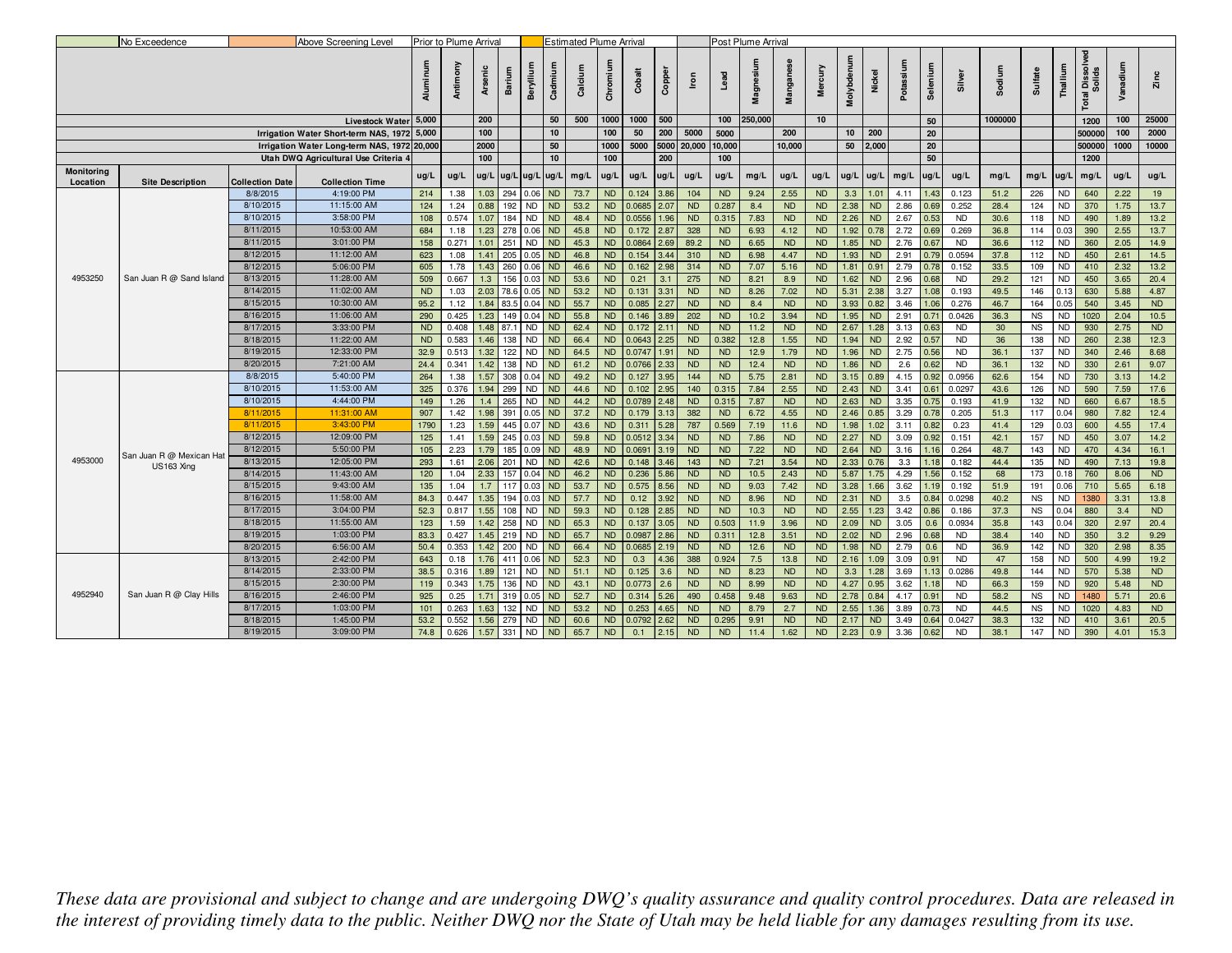|                        | No Exceedence            |                        | Above Screening Level                       |                        | Prior to Plume Arrival |              |                     |                        |                        | <b>Estimated Plume Arrival</b> |                        |                 |               |                        |                    | Post Plume Arrival |                   |                        |                   |                   |                |              |                        |          |                  |                        |                                        |              |                   |
|------------------------|--------------------------|------------------------|---------------------------------------------|------------------------|------------------------|--------------|---------------------|------------------------|------------------------|--------------------------------|------------------------|-----------------|---------------|------------------------|--------------------|--------------------|-------------------|------------------------|-------------------|-------------------|----------------|--------------|------------------------|----------|------------------|------------------------|----------------------------------------|--------------|-------------------|
|                        |                          |                        |                                             | Aluminum               | Antimony               | Arsenic      | Barium              | Beryllium              | Cadmiun                | Calcium                        | Chromium               | Cobalt          | Copper        | <b>S</b>               |                    | Magnesium          | Mangan            | Mercury                | Molybdenum        | Nickel            | Potassium      | Selenium     | $\overline{a}$         | Sodium   | Sulfate          | Thallium               | ssolved<br>Solids<br>ä<br><b>Total</b> | Vanadium     | Zinc              |
|                        |                          |                        | <b>Livestock Water</b>                      | 5,000                  |                        | 200          |                     |                        | 50                     | 500                            | 1000                   | 1000            | 500           |                        | 100                | 250,000            |                   | 10                     |                   |                   |                | 50           |                        | 1000000  |                  |                        | 1200                                   | 100          | 25000             |
|                        |                          |                        | Irrigation Water Short-term NAS, 1972 5,000 |                        |                        | 100          |                     |                        | 10                     |                                | 100                    | 50              | 200           | 5000                   | 5000               |                    | 200               |                        | 10                | 200               |                | 20           |                        |          |                  |                        | 500000                                 | 100          | 2000              |
|                        |                          |                        | Irrigation Water Long-term NAS, 1972 20,000 |                        |                        | 2000         |                     |                        | 50                     |                                | 1000                   | 5000            |               | 5000 20,000            | 10,000             |                    | 10,000            |                        | 50                | 2,000             |                | 20           |                        |          |                  |                        | 500000                                 | 1000         | 10000             |
|                        |                          |                        | Utah DWQ Agricultural Use Criteria 4        |                        |                        | 100          |                     |                        | 10                     |                                | 100                    |                 | 200           |                        | 100                |                    |                   |                        |                   |                   |                | 50           |                        |          |                  |                        | 1200                                   |              |                   |
| Monitoring<br>Location | <b>Site Description</b>  | <b>Collection Date</b> | <b>Collection Time</b>                      | ug/L                   | ug/L                   |              | ug/L ug/L ug/L ug/L |                        |                        | mg/L                           | ug/L                   |                 | $ug/L$ $ug/L$ | ug/L                   | ug/L               | mg/L               | ug/L              | ug/L                   |                   |                   | ug/L ug/L mg/L | ug/L         | ug/L                   | mg/L     | mg/L ug/L        |                        | mg/L                                   | ug/L         | ug/L              |
|                        |                          | 8/8/2015               | 4:19:00 PM                                  | 214                    | 1.38                   | 1.03         | 294                 | $0.06$ ND              |                        | 73.7                           | <b>ND</b>              | 0.124           | 3.86          | 104                    | <b>ND</b>          | 9.24               | 2.55              | <b>ND</b>              | 3.3               | 1.01              | 4.11           | 1.43         | 0.123                  | 51.2     | 226              | <b>ND</b>              | 640                                    | 2.22         | 19                |
|                        |                          | 8/10/2015              | 11:15:00 AM                                 | 124                    | 1.24                   | 0.88         | 192                 | <b>ND</b>              | <b>ND</b>              | 53.2                           | <b>ND</b>              | 0.0685          | 2.07          | <b>ND</b>              | 0.287              | 8.4                | <b>ND</b>         | <b>ND</b>              | 2.38              | <b>ND</b>         | 2.86           | 0.69         | 0.252                  | 28.4     | 124              | <b>ND</b>              | 370                                    | 1.75         | 13.7              |
|                        |                          | 8/10/2015              | 3:58:00 PM                                  | 108                    | 0.574                  | 1.07         | 184                 | <b>ND</b>              | <b>ND</b>              | 48.4                           | <b>ND</b>              | 0.0556          | .96           | <b>ND</b>              | 0.315              | 7.83               | <b>ND</b>         | <b>ND</b>              | 2.26              | <b>ND</b>         | 2.67           | 0.53         | <b>ND</b>              | 30.6     | 118              | <b>ND</b>              | 490                                    | 1.89         | 13.2              |
|                        |                          | 8/11/2015              | 10:53:00 AM                                 | 684                    | 1.18                   | 1.23         | 278                 | 0.06                   | <b>ND</b>              | 45.8                           | <b>ND</b>              | 0.172           | 2.87          | 328                    | <b>ND</b>          | 6.93               | 4.12              | <b>ND</b>              | 1.92              | 0.78              | 2.72           | 0.69         | 0.269                  | 36.8     | 114              | 0.03                   | 390                                    | 2.55         | 13.7              |
|                        |                          | 8/11/2015              | 3:01:00 PM                                  | 158                    | 0.271                  | 1.01         | 251                 | <b>ND</b>              | <b>ND</b>              | 45.3                           | <b>ND</b>              | 0.0864          | 2.69          | 89.2                   | <b>ND</b>          | 6.65               | <b>ND</b>         | <b>ND</b>              | 1.85              | <b>ND</b>         | 2.76           | 0.67         | <b>ND</b>              | 36.6     | 112              | <b>ND</b>              | 360                                    | 2.05         | 14.9              |
|                        |                          | 8/12/2015              | 11:12:00 AM                                 | 623                    | 1.08                   | 1.41         | 205                 | $0.05$ ND              |                        | 46.8                           | <b>ND</b>              | 0.154           | 3.44          | 310                    | <b>ND</b>          | 6.98               | 4.47              | <b>ND</b>              | 1.93              | <b>ND</b>         | 2.91           | 0.79         | 0.0594                 | 37.8     | 112              | ND                     | 450                                    | 2.61         | 14.5              |
|                        |                          | 8/12/2015              | 5:06:00 PM                                  | 605                    | 1.78                   | 1.43         | 260                 | $0.06$ ND              |                        | 46.6                           | <b>ND</b>              | 0.162           | 2.98          | 314                    | <b>ND</b>          | 7.07               | 5.16              | <b>ND</b>              | 1.81              | 0.91              | 2.79           | 0.78         | 0.152                  | 33.5     | 109              | <b>ND</b>              | 410                                    | 2.32         | 13.2              |
| 4953250                | San Juan R @ Sand Island | 8/13/2015              | 11:28:00 AM                                 | 509                    | 0.667                  | 1.3          | 156                 | 0.03                   | ND                     | 53.6                           | <b>ND</b>              | 0.21            | 3.1           | 275                    | <b>ND</b>          | 8.21               | 8.9               | ND                     | 1.62              | <b>ND</b>         | 2.96           | 0.68         | <b>ND</b>              | 29.2     | 121              | <b>ND</b>              | 450                                    | 3.65         | 20.4              |
|                        |                          | 8/14/2015              | 11:02:00 AM                                 | <b>ND</b>              | 1.03                   | 2.03         | 78.6 0.05 ND        |                        |                        | 53.2                           | <b>ND</b>              | 0.131           | 3.31          | <b>ND</b>              | <b>ND</b>          | 8.26               | 7.02              | <b>ND</b>              |                   | $5.31$ 2.38       | 3.27           | 1.08         | 0.193                  | 49.5     | 146              | 0.13                   | 630                                    | 5.88         | 4.87              |
|                        |                          | 8/15/2015              | 10:30:00 AM                                 | 95.2                   | 1.12                   | 1.84         | 83.5 0.04 ND        |                        |                        | 55.7                           | <b>ND</b>              | 0.085           | 2.27          | <b>ND</b>              | <b>ND</b>          | 8.4                | <b>ND</b>         | <b>ND</b>              | 3.93              | 0.82              | 3.46           | 1.06         | 0.276                  | 46.7     | 164              | 0.05                   | 540                                    | 3.45         | <b>ND</b>         |
|                        |                          | 8/16/2015<br>8/17/2015 | 11:06:00 AM<br>3:33:00 PM                   | 290                    | 0.425                  | 1.23         | 149                 | 0.04                   | <b>ND</b>              | 55.8                           | <b>ND</b>              | 0.146           | 3.89          | 202                    | <b>ND</b>          | 10.2               | 3.94              | <b>ND</b>              | 1.95              | <b>ND</b>         | 2.91           | 0.71         | 0.0426                 | 36.3     | <b>NS</b>        | <b>ND</b>              | 1020                                   | 2.04<br>2.75 | 10.5<br><b>ND</b> |
|                        |                          | 8/18/2015              | 11:22:00 AM                                 | <b>ND</b><br><b>ND</b> | 0.408<br>0.583         | 1.48<br>1.46 | 87.1<br>138         | <b>ND</b>              | <b>ND</b><br><b>ND</b> | 62.4<br>66.4                   | <b>ND</b><br><b>ND</b> | 0.172<br>0.0643 | 2.11          | <b>ND</b><br><b>ND</b> | <b>ND</b><br>0.382 | 11.2<br>12.8       | <b>ND</b><br>1.55 | <b>ND</b><br><b>ND</b> | 2.67<br>1.94      | 1.28<br><b>ND</b> | 3.13<br>2.92   | 0.63         | <b>ND</b>              | 30<br>36 | <b>NS</b><br>138 | <b>ND</b><br><b>ND</b> | 930<br>260                             | 2.38         | 12.3              |
|                        |                          | 8/19/2015              | 12:33:00 PM                                 | 32.9                   | 0.513                  | 1.32         | 122                 | <b>ND</b><br><b>ND</b> | ND                     | 64.5                           | <b>ND</b>              | 0.0747          | 2.25<br>1.91  | <b>ND</b>              | <b>ND</b>          | 12.9               | 1.79              | <b>ND</b>              | 1.96              | <b>ND</b>         | 2.75           | 0.57<br>0.56 | <b>ND</b><br><b>ND</b> | 36.1     | 137              | ND                     | 340                                    | 2.46         | 8.68              |
|                        |                          | 8/20/2015              | 7:21:00 AM                                  | 24.4                   | 0.341                  | 1.42         | 138                 | <b>ND</b>              | ND                     | 61.2                           | <b>ND</b>              | 0.0766          | 2.33          | <b>ND</b>              | <b>ND</b>          | 12.4               | <b>ND</b>         | <b>ND</b>              | 1.86              | <b>ND</b>         | 2.6            | 0.62         | <b>ND</b>              | 36.1     | 132              | <b>ND</b>              | 330                                    | 2.61         | 9.07              |
|                        |                          | 8/8/2015               | 5:40:00 PM                                  | 264                    | 1.38                   | 1.57         | 308                 | $0.04$ ND              |                        | 49.2                           | <b>ND</b>              | 0.127           | 3.95          | 144                    | <b>ND</b>          | 5.75               | 2.81              | N <sub>D</sub>         | 3.15              | 0.89              | 4.15           | 0.92         | 0.0956                 | 62.6     | 154              | <b>ND</b>              | 730                                    | 3.13         | 14.2              |
|                        |                          | 8/10/2015              | 11:53:00 AM                                 | 325                    | 0.376                  | 1.94         | 299                 | <b>ND</b>              | ND                     | 44.6                           | <b>ND</b>              | 0.102           | 2.95          | 140                    | 0.315              | 7.84               | 2.55              | ND                     | 2.43              | <b>ND</b>         | 3.41           | 0.61         | 0.0297                 | 43.6     | 126              | <b>ND</b>              | 590                                    | 7.59         | 17.6              |
|                        |                          | 8/10/2015              | 4:44:00 PM                                  | 149                    | 1.26                   | 1.4          | 265                 | <b>ND</b>              | ND                     | 44.2                           | <b>ND</b>              | 0.0789          | 2.48          | <b>ND</b>              | 0.315              | 7.87               | <b>ND</b>         | <b>ND</b>              | 2.63              | <b>ND</b>         | 3.35           | 0.75         | 0.193                  | 41.9     | 132              | <b>ND</b>              | 660                                    | 6.67         | 18.5              |
|                        |                          | 8/11/2015              | 11:31:00 AM                                 | 907                    | 1.42                   | 1.98         | 391                 | $0.05$ ND              |                        | 37.2                           | <b>ND</b>              | 0.179           | 3.13          | 382                    | <b>ND</b>          | 6.72               | 4.55              | <b>ND</b>              | 2.46              | 0.85              | 3.29           | 0.78         | 0.205                  | 51.3     | 117              | 0.04                   | 980                                    | 7.82         | 12.4              |
|                        |                          | 8/11/2015              | 3:43:00 PM                                  | 1790                   | 1.23                   | 1.59         | 445                 | 0.07                   | <b>ND</b>              | 43.6                           | <b>ND</b>              | 0.311           | 5.28          | 787                    | 0.569              | 7.19               | 11.6              | <b>ND</b>              | 1.98              | 1.02              | 3.11           | 0.82         | 0.23                   | 41.4     | 129              | 0.03                   | 600                                    | 4.55         | 17.4              |
|                        |                          | 8/12/2015              | 12:09:00 PM                                 | 125                    | 1.41                   | 1.59         | 245                 | 0.03                   | <b>ND</b>              | 59.8                           | <b>ND</b>              | 0.0512          | 3.34          | <b>ND</b>              | <b>ND</b>          | 7.86               | <b>ND</b>         | ND                     | 2.27              | <b>ND</b>         | 3.09           | 0.92         | 0.151                  | 42.1     | 157              | <b>ND</b>              | 450                                    | 3.07         | 14.2              |
|                        |                          | 8/12/2015              | 5:50:00 PM                                  | 105                    | 2.23                   | 1.79         | 185                 | $0.09$ ND              |                        | 48.9                           | <b>ND</b>              | 0.0691          | 3.19          | <b>ND</b>              | <b>ND</b>          | 7.22               | <b>ND</b>         | <b>ND</b>              | 2.64              | <b>ND</b>         | 3.16           | 1.16         | 0.264                  | 48.7     | 143              | ${\sf ND}$             | 470                                    | 4.34         | 16.1              |
| 4953000                | San Juan R @ Mexican Hat | 8/13/2015              | 12:05:00 PM                                 | 293                    | 1.61                   | 2.06         | 201                 | <b>ND</b>              | <b>ND</b>              | 42.6                           | <b>ND</b>              | 0.148           | 3.46          | 143                    | <b>ND</b>          | 7.21               | 3.54              | <b>ND</b>              | $2.33 \quad 0.76$ |                   | 3.3            | 1.18         | 0.182                  | 44.4     | 135              | <b>ND</b>              | 490                                    | 7.13         | 19.8              |
|                        | US163 Xing               | 8/14/2015              | 11:43:00 AM                                 | 120                    | 1.04                   | 2.33         | 157                 | $0.04$ ND              |                        | 46.2                           | <b>ND</b>              | 0.236           | 5.86          | <b>ND</b>              | <b>ND</b>          | 10.5               | 2.43              | ND                     | 5.87              | 1.75              | 4.29           | 1.56         | 0.152                  | 68       | 173              | 0.18                   | 760                                    | 8.06         | <b>ND</b>         |
|                        |                          | 8/15/2015              | 9:43:00 AM                                  | 135                    | 1.04                   | 1.7          | 117                 | 0.03                   | <b>ND</b>              | 53.7                           | <b>ND</b>              | 0.575           | 8.56          | <b>ND</b>              | <b>ND</b>          | 9.03               | 7.42              | ND                     | 3.28              | 1.66              | 3.62           | 1.19         | 0.192                  | 51.9     | 191              | 0.06                   | 710                                    | 5.65         | 6.18              |
|                        |                          | 8/16/2015              | 11:58:00 AM                                 | 84.3                   | 0.447                  | 1.35         | 194                 | 0.03                   | <b>ND</b>              | 57.7                           | <b>ND</b>              | 0.12            | 3.92          | <b>ND</b>              | <b>ND</b>          | 8.96               | <b>ND</b>         | <b>ND</b>              | 2.31              | <b>ND</b>         | 3.5            | 0.84         | 0.0298                 | 40.2     | <b>NS</b>        | ND                     | 1380                                   | 3.31         | 13.8              |
|                        |                          | 8/17/2015              | 3:04:00 PM                                  | 52.3                   | 0.817                  | 1.55         | 108                 | <b>ND</b>              | <b>ND</b>              | 59.3                           | <b>ND</b>              | 0.128           | 2.85          | <b>ND</b>              | <b>ND</b>          | 10.3               | <b>ND</b>         | ND                     | 2.55              | 1.23              | 3.42           | 0.86         | 0.186                  | 37.3     | <b>NS</b>        | 0.04                   | 880                                    | 3.4          | <b>ND</b>         |
|                        |                          | 8/18/2015              | 11:55:00 AM                                 | 123                    | 1.59                   | 1.42         | 258                 | <b>ND</b>              | ND                     | 65.3                           | <b>ND</b>              | 0.137           | 3.05          | <b>ND</b>              | 0.503              | 11.9               | 3.96              | <b>ND</b>              | 2.09              | <b>ND</b>         | 3.05           | 0.6          | 0.0934                 | 35.8     | 143              | 0.04                   | 320                                    | 2.97         | 20.4              |
|                        |                          | 8/19/2015              | 1:03:00 PM                                  | 83.3                   | 0.427                  | 1.45         | 219                 | <b>ND</b>              | <b>ND</b>              | 65.7                           | <b>ND</b>              | 0.0987          | 2.86          | <b>ND</b>              | 0.31               | 12.8               | 3.51              | <b>ND</b>              | 2.02              | <b>ND</b>         | 2.96           | 0.68         | <b>ND</b>              | 38.4     | 140              | <b>ND</b>              | 350                                    | 3.2          | 9.29              |
|                        |                          | 8/20/2015              | 6:56:00 AM                                  | 50.4                   | 0.353                  | 1.42         | 200                 | <b>ND</b>              | <b>ND</b>              | 66.4                           | <b>ND</b>              | 0.0685          | 2.19          | <b>ND</b>              | <b>ND</b>          | 12.6               | <b>ND</b>         | <b>ND</b>              | 1.98              | <b>ND</b>         | 2.79           | 0.6          | <b>ND</b>              | 36.9     | 142              | ND                     | 320                                    | 2.98         | 8.35              |
|                        |                          | 8/13/2015              | 2:42:00 PM                                  | 643                    | 0.18                   | 1.76         | 411                 | 0.06                   | <b>ND</b>              | 52.3                           | <b>ND</b>              | 0.3             | 4.36          | 388                    | 0.924              | 7.5                | 13.8              | <b>ND</b>              |                   | $2.16$ 1.09       | 3.09           | 0.91         | <b>ND</b>              | 47       | 158              | <b>ND</b>              | 500                                    | 4.99         | 19.2              |
|                        |                          | 8/14/2015              | 2:33:00 PM                                  | 38.5                   | 0.316                  | 1.89         | 121                 | <b>ND</b>              | <b>ND</b>              | 51.1                           | <b>ND</b>              | 0.125           | 3.6           | <b>ND</b>              | <b>ND</b>          | 8.23               | <b>ND</b>         | <b>ND</b>              | 3.3               | 1.28              | 3.69           | 1.13         | 0.0286                 | 49.8     | 144              | <b>ND</b>              | 570                                    | 5.38         | <b>ND</b>         |
|                        |                          | 8/15/2015              | 2:30:00 PM                                  | 119                    | 0.343                  | 1.75         | 136                 | <b>ND</b>              | <b>ND</b>              | 43.1                           | <b>ND</b>              | 0.0773          | 2.6           | <b>ND</b>              | <b>ND</b>          | 8.99               | <b>ND</b>         | <b>ND</b>              | 4.27              | 0.95              | 3.62           | 1.18         | <b>ND</b>              | 66.3     | 159              | <b>ND</b>              | 920                                    | 5.48         | <b>ND</b>         |
| 4952940                | San Juan R @ Clay Hills  | 8/16/2015              | 2:46:00 PM                                  | 925                    | 0.25                   | 1.71         | 319                 | 0.05                   | <b>ND</b>              | 52.7                           | <b>ND</b>              | 0.314           | 5.26          | 490                    | 0.458              | 9.48               | 9.63              | <b>ND</b>              | $2.78$ 0.84       |                   | 4.17           | 0.91         | <b>ND</b>              | 58.2     | <b>NS</b>        | <b>ND</b>              | 1480                                   | 5.71         | 20.6              |
|                        |                          | 8/17/2015              | 1:03:00 PM                                  | 101                    | 0.263                  | 1.63         | 132                 | <b>ND</b>              | <b>ND</b>              | 53.2                           | <b>ND</b>              | 0.253           | 4.65          | <b>ND</b>              | <b>ND</b>          | 8.79               | 2.7               | ND                     | 2.55              | 1.36              | 3.89           | 0.73         | <b>ND</b>              | 44.5     | <b>NS</b>        | <b>ND</b>              | 1020                                   | 4.83         | <b>ND</b>         |
|                        |                          | 8/18/2015              | 1:45:00 PM                                  | 53.2                   | 0.552                  | 1.56         | 279                 | <b>ND</b>              | <b>ND</b>              | 60.6                           | <b>ND</b>              | 0.0792          | 2.62          | <b>ND</b>              | 0.295              | 9.91               | <b>ND</b>         | <b>ND</b>              | 2.17              | <b>ND</b>         | 3.49           | 0.64         | 0.0427                 | 38.3     | 132              | <b>ND</b>              | 410                                    | 3.61         | 20.5              |
|                        |                          | 8/19/2015              | 3:09:00 PM                                  | 74.8                   | 0.626                  | 1.57         | 331                 | <b>ND</b>              | <b>ND</b>              | 65.7                           | <b>ND</b>              | 0.1             | 2.15          | <b>ND</b>              | <b>ND</b>          | 11.4               | 1.62              | ND                     | 2.23              | 0.9               | 3.36           | 0.62         | <b>ND</b>              | 38.1     | 147              | <b>ND</b>              | 390                                    | 4.01         | 15.3              |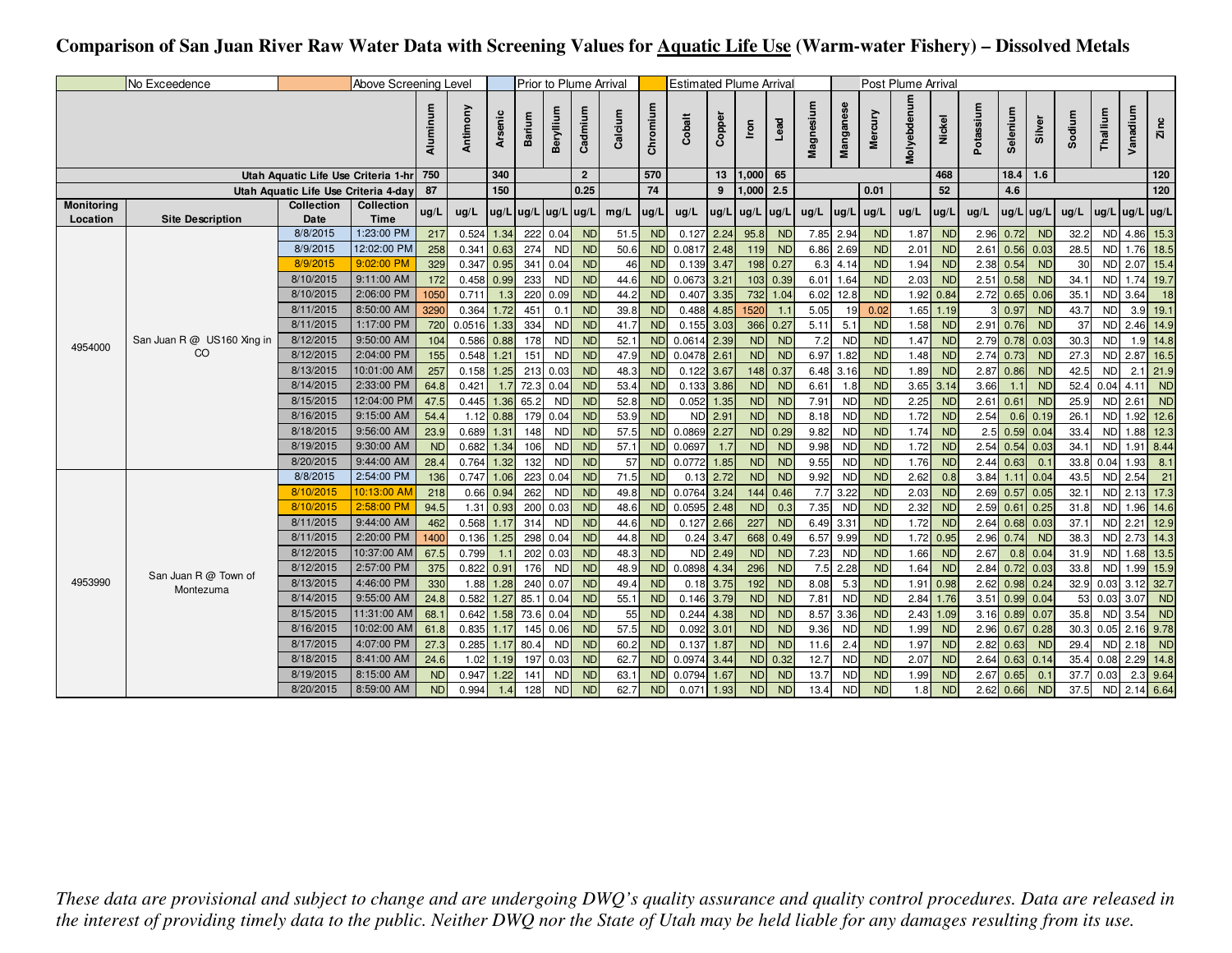## **Comparison of San Juan River Raw Water Data with Screening Values for Aquatic Life Use (Warm-water Fishery) – Dissolved Metals**

|                   | No Exceedence              |                                      | Above Screening Level     |           |                |             |        | Prior to Plume Arrival                                      |                |         |                 | <b>Estimated Plume Arrival</b> |        |               |            |           |           |                | Post Plume Arrival |           |           |                  |             |        |            |                  |                |
|-------------------|----------------------------|--------------------------------------|---------------------------|-----------|----------------|-------------|--------|-------------------------------------------------------------|----------------|---------|-----------------|--------------------------------|--------|---------------|------------|-----------|-----------|----------------|--------------------|-----------|-----------|------------------|-------------|--------|------------|------------------|----------------|
|                   |                            |                                      |                           | Aluminum  | Antimony       | Arsenic     | Barium | Beryllium                                                   | Cadmium        | Calcium | Chromium        | Cobalt                         | Copper | Iron          | Lead       | Magnesium | Manganese | Mercury        | Molyebdenum        | Nickel    | Potassium | Seleniu          | Silver      | Sodium | Thallium   | Vanadium         | Zinc           |
|                   |                            | Utah Aquatic Life Use Criteria 1-hr  |                           | 750       |                | 340         |        |                                                             | $\overline{2}$ |         | 570             |                                | 13     | 1,000         | 65         |           |           |                |                    | 468       |           | 18.4             | 1.6         |        |            |                  | 120            |
|                   |                            | Utah Aquatic Life Use Criteria 4-day |                           | 87        |                | 150         |        |                                                             | 0.25           |         | $\overline{74}$ |                                | 9      | 1,000         | 2.5        |           |           | 0.01           |                    | 52        |           | 4.6              |             |        |            |                  | $\frac{1}{20}$ |
| <b>Monitoring</b> |                            | Collection                           | Collection                | ug/L      | ug/L           |             |        | $\lfloor$ ug/L $\lfloor$ ug/L $\lfloor$ ug/L $\lfloor$ ug/L |                | mg/L    | ug/L            | ug/L                           | ug/L   | $ug/L$ $ug/L$ |            | ug/L      | ug/L      | ug/L           | ug/L               | ug/L      | ug/L      | $ug/L$ $ug/L$    |             | ug/L   |            | $ug/L$ ug/L ug/L |                |
| Location          | <b>Site Description</b>    | Date<br>8/8/2015                     | <b>Time</b><br>1:23:00 PM | 217       | 0.524          | 1.34        | 222    | 0.04                                                        | <b>ND</b>      | 51.5    | <b>ND</b>       | 0.127                          | 2.24   | 95.8          | <b>ND</b>  |           | 7.85 2.94 | <b>ND</b>      | 1.87               | <b>ND</b> | 2.96      | 0.72             | <b>ND</b>   | 32.2   | <b>NDI</b> |                  | 4.86 15.3      |
|                   |                            | 8/9/2015                             | 12:02:00 PM               | 258       | $0.341$ $0.63$ |             | 274    | <b>ND</b>                                                   | <b>ND</b>      | 50.6    | <b>ND</b>       | 0.0817                         | 2.48   | 119           | <b>ND</b>  |           | 6.86 2.69 | <b>ND</b>      | 2.01               | <b>ND</b> |           | $2.61$ 0.56 0.03 |             | 28.5   | <b>NDI</b> |                  | 1.76 18.5      |
|                   |                            | 8/9/2015                             | 9:02:00 PM                | 329       | $0.347$ 0.95   |             | 341    | 0.04                                                        | <b>ND</b>      | 46      | <b>ND</b>       | 0.139                          | 3.47   | 198           | 0.27       | 6.3       | 4.14      | <b>ND</b>      | 1.94               | <b>ND</b> | 2.38      | 0.54             | <b>ND</b>   | 30     | <b>ND</b>  | $2.07$ 15.4      |                |
|                   |                            | 8/10/2015                            | 9:11:00 AM                | 172       | $0.458$ 0.99   |             | 233    | <b>ND</b>                                                   | <b>ND</b>      | 44.6    | <b>ND</b>       | 0.0673                         | 3.21   |               | 103 0.39   |           | 6.01 1.64 | <b>ND</b>      | 2.03               | <b>ND</b> |           | $2.51$ 0.58      | <b>ND</b>   | 34.1   | <b>ND</b>  |                  | $1.74$ 19.7    |
|                   |                            | 8/10/2015                            | 2:06:00 PM                | 050       | 0.711          | 1.3         | 220    | 0.09                                                        | <b>ND</b>      | 44.2    | <b>ND</b>       | 0.407                          | 3.35   | 732           | 1.04       | 6.02      | 12.8      | <b>ND</b>      | 1.92               | 0.84      |           | 2.72 0.65 0.06   |             | 35.1   | <b>ND</b>  | 3.64             | 18             |
|                   |                            | 8/11/2015                            | 8:50:00 AM                | 3290      | 0.364          | 1.72        | 451    | 0.1                                                         | <b>ND</b>      | 39.8    | <b>ND</b>       | 0.488                          | 4.85   | 1520          | $\sim$ 1.1 | 5.05      | 19        | 0.02           | 1.65               | 1.19      |           | 0.97             | <b>ND</b>   | 43.7   | <b>ND</b>  |                  | $3.9$ 19.1     |
|                   |                            | 8/11/2015                            | 1:17:00 PM                | 720       | 0.0516         | 1.33        | 334    | <b>ND</b>                                                   | <b>ND</b>      | 41.7    | <b>ND</b>       | 0.155                          | 3.03   | 366           | 0.27       | 5.11      | 5.1       | <b>ND</b>      | 1.58               | <b>ND</b> | 2.91      | 0.76             | <b>ND</b>   | 37     | <b>ND</b>  |                  | $2.46$ 14.9    |
|                   | San Juan R @ US160 Xing in | 8/12/2015                            | 9:50:00 AM                | 104       | $0.586$ 0.88   |             | 178    | <b>ND</b>                                                   | <b>ND</b>      | 52.1    | <b>ND</b>       | $0.0614$ 2.39                  |        | <b>ND</b>     | <b>ND</b>  | 7.2       | <b>ND</b> | <b>ND</b>      | 1.47               | <b>ND</b> |           | 2.79 0.78 0.03   |             | 30.3   | <b>ND</b>  |                  | $1.9$ 14.8     |
| 4954000           | CO                         | 8/12/2015                            | 2:04:00 PM                | 155       | $0.548$ 1.21   |             | 151    | <b>ND</b>                                                   | <b>ND</b>      | 47.9    |                 | ND 0.0478                      | 2.61   | <b>ND</b>     | <b>ND</b>  |           | 6.97 1.82 | <b>ND</b>      | 1.48               | <b>ND</b> |           | $2.74$ 0.73      | <b>ND</b>   | 27.3   | <b>ND</b>  |                  | 2.87 16.5      |
|                   |                            | 8/13/2015                            | 10:01:00 AM               | 257       | 0.158          | 1.25        | 213    | 0.03                                                        | <b>ND</b>      | 48.3    | <b>ND</b>       | 0.122                          | 3.67   | 148           | 0.37       | 6.48      | 3.16      | <b>ND</b>      | 1.89               | <b>ND</b> | 2.87      | 0.86             | <b>ND</b>   | 42.5   | <b>ND</b>  |                  | $2.1$ 21.9     |
|                   |                            | 8/14/2015                            | 2:33:00 PM                | 64.8      | 0.421          | 1.7         | 72.3   | 0.04                                                        | <b>ND</b>      | 53.4    | <b>ND</b>       | 0.133                          | 3.86   | <b>ND</b>     | <b>ND</b>  | 6.61      | 1.8       | N <sub>D</sub> | 3.65               | 3.14      | 3.66      |                  | <b>ND</b>   | 52.4   | 0.04       | 4.11             | <b>ND</b>      |
|                   |                            | 8/15/2015                            | 12:04:00 PM               | 47.5      | $0.445$ 1.36   |             | 65.2   | <b>ND</b>                                                   | <b>ND</b>      | 52.8    | <b>ND</b>       | 0.052                          | 1.35   | <b>ND</b>     | <b>ND</b>  | 7.91      | <b>ND</b> | <b>ND</b>      | 2.25               | <b>ND</b> | 2.61      | 0.61             | <b>ND</b>   | 25.9   | <b>ND</b>  | 2.61             | <b>ND</b>      |
|                   |                            | 8/16/2015                            | 9:15:00 AM                | 54.4      |                | $1.12$ 0.88 | 179    | 0.04                                                        | <b>ND</b>      | 53.9    | <b>ND</b>       | <b>ND</b>                      | 2.91   | <b>ND</b>     | <b>ND</b>  | 8.18      | <b>ND</b> | <b>ND</b>      | 1.72               | <b>ND</b> | 2.54      |                  | $0.6$ 0.19  | 26.1   | <b>ND</b>  |                  | $1.92$ 12.6    |
|                   |                            | 8/18/2015                            | 9:56:00 AM                | 23.9      | 0.689          | 1.31        | 148    | <b>ND</b>                                                   | <b>ND</b>      | 57.5    |                 | ND 0.0869                      | 2.27   | <b>ND</b>     | 0.29       | 9.82      | <b>ND</b> | <b>ND</b>      | 1.74               | <b>ND</b> | 2.5       |                  | 0.59 0.04   | 33.4   | <b>ND</b>  |                  | $1.88$ 12.3    |
|                   |                            | 8/19/2015                            | 9:30:00 AM                | <b>ND</b> | $0.682$ 1.34   |             | 106    | <b>ND</b>                                                   | <b>ND</b>      | 57.1    | <b>ND</b>       | 0.0697                         | 1.7    | <b>ND</b>     | <b>ND</b>  | 9.98      | <b>ND</b> | <b>ND</b>      | 1.72               | <b>ND</b> |           | 2.54 0.54 0.03   |             | 34.1   | <b>ND</b>  |                  | $1.91$ 8.44    |
|                   |                            | 8/20/2015                            | 9:44:00 AM                | 28.4      | 0.764          | 1.32        | 132    | <b>ND</b>                                                   | <b>ND</b>      | 57      | <b>ND</b>       | 0.0772                         | 1.85   | <b>ND</b>     | <b>ND</b>  | 9.55      | <b>ND</b> | <b>ND</b>      | 1.76               | <b>ND</b> | 2.44      | 0.63             | 0.1         | 33.8   | 0.04       | 1.93             | 8.1            |
|                   |                            | 8/8/2015                             | 2:54:00 PM                | 136       | $0.747$ 1.06   |             | 223    | 0.04                                                        | <b>ND</b>      | 71.5    | <b>ND</b>       | 0.13                           | 2.72   | <b>ND</b>     | <b>ND</b>  | 9.92      | <b>ND</b> | <b>ND</b>      | 2.62               | 0.8       | 3.84      |                  | $1.11$ 0.04 | 43.5   | <b>ND</b>  | 2.54             | 21             |
|                   |                            | 8/10/2015                            | 10:13:00 AM               | 218       |                | $0.66$ 0.94 | 262    | <b>ND</b>                                                   | <b>ND</b>      | 49.8    |                 | ND 0.0764                      | 3.24   | 144           | 0.46       | 7.7       | 3.22      | <b>ND</b>      | 2.03               | <b>ND</b> |           | $2.69$ 0.57 0.05 |             | 32.1   |            | ND 2.13 17.3     |                |
|                   |                            | 8/10/2015                            | 2:58:00 PM                | 94.5      |                | $1.31$ 0.93 | 200    | 0.03                                                        | <b>ND</b>      | 48.6    | <b>ND</b>       | 0.0595                         | 2.48   | <b>ND</b>     | 0.3        | 7.35      | <b>ND</b> | <b>ND</b>      | 2.32               | <b>ND</b> |           | $2.59$ 0.61      | 0.25        | 31.8   | <b>ND</b>  |                  | 1.96 14.6      |
|                   |                            | 8/11/2015                            | 9:44:00 AM                | 462       | $0.568$ 1.17   |             | 314    | <b>ND</b>                                                   | <b>ND</b>      | 44.6    | <b>ND</b>       | 0.127                          | 2.66   | 227           | <b>ND</b>  | 6.49      | 3.31      | N <sub>D</sub> | 1.72               | <b>ND</b> |           | $2.64$ 0.68 0.03 |             | 37.1   | <b>ND</b>  |                  | $2.21$ 12.9    |
|                   |                            | 8/11/2015                            | 2:20:00 PM                | 1400      | 0.136          | 1.25        | 298    | 0.04                                                        | <b>ND</b>      | 44.8    | <b>ND</b>       | 0.24                           | 3.47   | 668           | 0.49       | 6.57      | 9.99      | <b>ND</b>      | 1.72               | 0.95      | 2.96      | 0.74             | <b>ND</b>   | 38.3   | <b>ND</b>  |                  | 2.73 14.3      |
|                   |                            | 8/12/2015                            | 10:37:00 AM               | 67.5      | 0.799          | 1.1         | 202    | 0.03                                                        | <b>ND</b>      | 48.3    | <b>ND</b>       | <b>ND</b>                      | 2.49   | <b>ND</b>     | <b>ND</b>  | 7.23      | <b>ND</b> | <b>ND</b>      | 1.66               | <b>ND</b> | 2.67      |                  | $0.8$ 0.04  | 31.9   | <b>NDI</b> |                  | 1.68 13.5      |
|                   | San Juan R @ Town of       | 8/12/2015                            | 2:57:00 PM                | 375       | $0.822$ $0.91$ |             | 176    | <b>ND</b>                                                   | <b>ND</b>      | 48.9    | <b>ND</b>       | 0.0898                         | 4.34   | 296           | <b>ND</b>  | 7.5       | 2.28      | <b>ND</b>      | 1.64               | <b>ND</b> | 2.84      |                  | $0.72$ 0.03 | 33.8   | <b>ND</b>  |                  | 1.99 15.9      |
| 4953990           | Montezuma                  | 8/13/2015                            | 4:46:00 PM                | 330       |                | $1.88$ 1.28 | 240    | 0.07                                                        | <b>ND</b>      | 49.4    | <b>ND</b>       | 0.18                           | 3.75   | 192           | <b>ND</b>  | 8.08      | 5.3       | <b>ND</b>      | 1.91               | 0.98      |           | 2.62 0.98 0.24   |             | 32.9   |            | $0.03$ 3.12 32.7 |                |
|                   |                            | 8/14/2015                            | 9:55:00 AM                | 24.8      | $0.582$ 1.27   |             | 85.1   | 0.04                                                        | <b>ND</b>      | 55.1    | <b>ND</b>       | 0.146                          | 3.79   | <b>ND</b>     | <b>ND</b>  | 7.81      | <b>ND</b> | N <sub>D</sub> | 2.84               | 1.76      |           | 3.51 0.99 0.04   |             | 53     |            | $0.03$ 3.07      | <b>ND</b>      |
|                   |                            | 8/15/2015                            | 11:31:00 AM               | 68.1      | 0.642          | 1.58        | 73.6   | 0.04                                                        | <b>ND</b>      | 55      | <b>ND</b>       | 0.244                          | 4.38   | <b>ND</b>     | <b>ND</b>  | 8.57      | 3.36      | <b>ND</b>      | 2.43               | 1.09      | 3.16      |                  | 0.89 0.07   | 35.8   | <b>NDI</b> | 3.54             | <b>ND</b>      |
|                   |                            | 8/16/2015                            | 10:02:00 AM               | 61.8      | $0.835$ 1.17   |             | 145    | 0.06                                                        | <b>ND</b>      | 57.5    | <b>ND</b>       | 0.092                          | 3.01   | <b>ND</b>     | <b>ND</b>  | 9.36      | <b>ND</b> | <b>ND</b>      | 1.99               | <b>ND</b> | 2.96      |                  | $0.67$ 0.28 | 30.3   | 0.05       |                  | $2.16$ 9.78    |
|                   |                            | 8/17/2015                            | 4:07:00 PM                | 27.3      | $0.285$ 1.17   |             | 80.4   | <b>ND</b>                                                   | <b>ND</b>      | 60.2    | <b>ND</b>       | 0.137                          | 1.87   | <b>ND</b>     | <b>ND</b>  | 11.6      | 2.4       | <b>ND</b>      | 1.97               | <b>ND</b> | 2.82      | 0.63             | <b>ND</b>   | 29.4   | <b>NDI</b> | 2.18             | <b>ND</b>      |
|                   |                            | 8/18/2015                            | 8:41:00 AM                | 24.6      | 1.02           | 1.19        | 197    | 0.03                                                        | <b>ND</b>      | 62.7    | <b>ND</b>       | 0.0974                         | 3.44   | <b>ND</b>     | 0.32       | 12.7      | <b>ND</b> | <b>ND</b>      | 2.07               | <b>ND</b> |           | 2.64 0.63 0.14   |             | 35.4   | 0.08       |                  | $2.29$ 14.8    |
|                   |                            | 8/19/2015                            | 8:15:00 AM                | <b>ND</b> | $0.947$ 1.22   |             | 141    | <b>ND</b>                                                   | <b>ND</b>      | 63.1    | <b>ND</b>       | 0.0794                         | 1.67   | <b>ND</b>     | <b>ND</b>  | 13.7      | <b>ND</b> | <b>ND</b>      | 1.99               | <b>ND</b> |           | $2.67$ 0.65      | 0.1         | 37.7   | 0.03       |                  | $2.3$ 9.64     |
|                   |                            | 8/20/2015                            | 8:59:00 AM                | <b>ND</b> | 0.994          | 1.4         | 128    | <b>ND</b>                                                   | <b>ND</b>      | 62.7    | <b>ND</b>       | 0.071                          | 1.93   | <b>ND</b>     | <b>ND</b>  | 13.4      | <b>ND</b> | <b>ND</b>      | 1.8                | <b>ND</b> | 2.62      | 0.66             | <b>ND</b>   | 37.5   | <b>ND</b>  |                  | $2.14$ 6.64    |